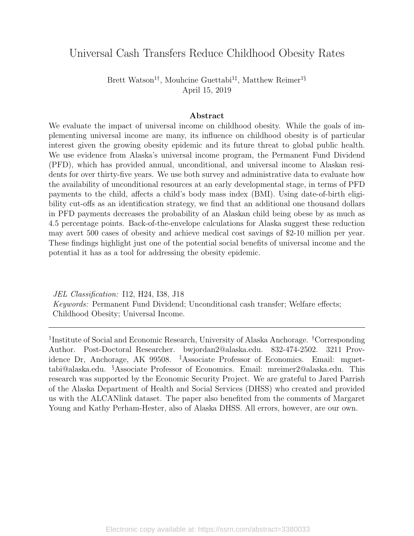## Universal Cash Transfers Reduce Childhood Obesity Rates

Brett Watson<sup>1†</sup>, Mouhcine Guettabi<sup>1‡</sup>, Matthew Reimer<sup>1§</sup> April 15, 2019

#### Abstract

We evaluate the impact of universal income on childhood obesity. While the goals of implementing universal income are many, its influence on childhood obesity is of particular interest given the growing obesity epidemic and its future threat to global public health. We use evidence from Alaska's universal income program, the Permanent Fund Dividend (PFD), which has provided annual, unconditional, and universal income to Alaskan residents for over thirty-five years. We use both survey and administrative data to evaluate how the availability of unconditional resources at an early developmental stage, in terms of PFD payments to the child, affects a child's body mass index (BMI). Using date-of-birth eligibility cut-offs as an identification strategy, we find that an additional one thousand dollars in PFD payments decreases the probability of an Alaskan child being obese by as much as 4.5 percentage points. Back-of-the-envelope calculations for Alaska suggest these reduction may avert 500 cases of obesity and achieve medical cost savings of \$2-10 million per year. These findings highlight just one of the potential social benefits of universal income and the potential it has as a tool for addressing the obesity epidemic.

JEL Classification: I12, H24, I38, J18 Keywords: Permanent Fund Dividend; Unconditional cash transfer; Welfare effects; Childhood Obesity; Universal Income.

<sup>1</sup>Institute of Social and Economic Research, University of Alaska Anchorage. <sup>†</sup>Corresponding Author. Post-Doctoral Researcher. bwjordan2@alaska.edu. 832-474-2502. 3211 Providence Dr, Anchorage, AK 99508. ‡Associate Professor of Economics. Email: mguettabi@alaska.edu. §Associate Professor of Economics. Email: mreimer2@alaska.edu. This research was supported by the Economic Security Project. We are grateful to Jared Parrish of the Alaska Department of Health and Social Services (DHSS) who created and provided us with the ALCANlink dataset. The paper also benefited from the comments of Margaret Young and Kathy Perham-Hester, also of Alaska DHSS. All errors, however, are our own.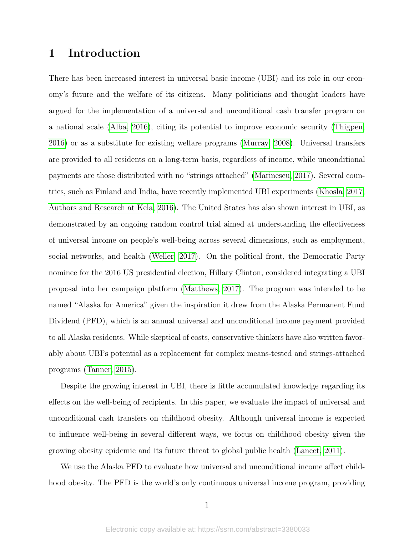## 1 Introduction

There has been increased interest in universal basic income (UBI) and its role in our economy's future and the welfare of its citizens. Many politicians and thought leaders have argued for the implementation of a universal and unconditional cash transfer program on a national scale [\(Alba, 2016\)](#page-19-0), citing its potential to improve economic security [\(Thigpen,](#page-24-0) [2016\)](#page-24-0) or as a substitute for existing welfare programs [\(Murray, 2008\)](#page-23-0). Universal transfers are provided to all residents on a long-term basis, regardless of income, while unconditional payments are those distributed with no "strings attached" [\(Marinescu, 2017\)](#page-23-1). Several countries, such as Finland and India, have recently implemented UBI experiments [\(Khosla, 2017;](#page-22-0) [Authors and Research at Kela, 2016\)](#page-19-1). The United States has also shown interest in UBI, as demonstrated by an ongoing random control trial aimed at understanding the effectiveness of universal income on people's well-being across several dimensions, such as employment, social networks, and health [\(Weller, 2017\)](#page-24-1). On the political front, the Democratic Party nominee for the 2016 US presidential election, Hillary Clinton, considered integrating a UBI proposal into her campaign platform [\(Matthews, 2017\)](#page-23-2). The program was intended to be named "Alaska for America" given the inspiration it drew from the Alaska Permanent Fund Dividend (PFD), which is an annual universal and unconditional income payment provided to all Alaska residents. While skeptical of costs, conservative thinkers have also written favorably about UBI's potential as a replacement for complex means-tested and strings-attached programs [\(Tanner, 2015\)](#page-24-2).

Despite the growing interest in UBI, there is little accumulated knowledge regarding its effects on the well-being of recipients. In this paper, we evaluate the impact of universal and unconditional cash transfers on childhood obesity. Although universal income is expected to influence well-being in several different ways, we focus on childhood obesity given the growing obesity epidemic and its future threat to global public health [\(Lancet, 2011\)](#page-23-3).

We use the Alaska PFD to evaluate how universal and unconditional income affect childhood obesity. The PFD is the world's only continuous universal income program, providing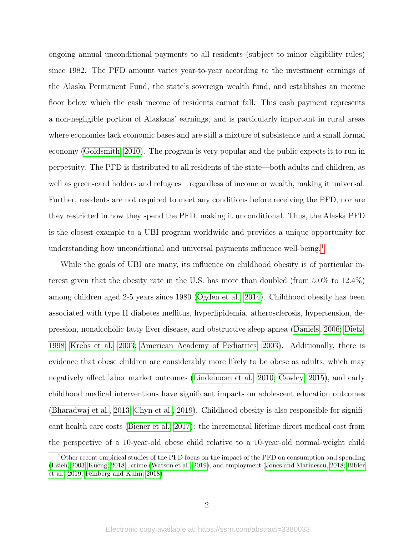ongoing annual unconditional payments to all residents (subject to minor eligibility rules) since 1982. The PFD amount varies year-to-year according to the investment earnings of the Alaska Permanent Fund, the state's sovereign wealth fund, and establishes an income floor below which the cash income of residents cannot fall. This cash payment represents a non-negligible portion of Alaskans' earnings, and is particularly important in rural areas where economies lack economic bases and are still a mixture of subsistence and a small formal economy [\(Goldsmith, 2010\)](#page-21-0). The program is very popular and the public expects it to run in perpetuity. The PFD is distributed to all residents of the state—both adults and children, as well as green-card holders and refugees—regardless of income or wealth, making it universal. Further, residents are not required to meet any conditions before receiving the PFD, nor are they restricted in how they spend the PFD, making it unconditional. Thus, the Alaska PFD is the closest example to a UBI program worldwide and provides a unique opportunity for understanding how unconditional and universal payments influence well-being.<sup>[1](#page-2-0)</sup>

While the goals of UBI are many, its influence on childhood obesity is of particular interest given that the obesity rate in the U.S. has more than doubled (from 5.0% to 12.4%) among children aged 2-5 years since 1980 [\(Ogden et al., 2014\)](#page-24-3). Childhood obesity has been associated with type II diabetes mellitus, hyperlipidemia, atherosclerosis, hypertension, depression, nonalcoholic fatty liver disease, and obstructive sleep apnea [\(Daniels, 2006;](#page-21-1) [Dietz,](#page-21-2) [1998;](#page-21-2) [Krebs et al., 2003;](#page-22-1) [American Academy of Pediatrics, 2003\)](#page-19-2). Additionally, there is evidence that obese children are considerably more likely to be obese as adults, which may negatively affect labor market outcomes [\(Lindeboom et al., 2010;](#page-23-4) [Cawley, 2015\)](#page-20-0), and early childhood medical interventions have significant impacts on adolescent education outcomes [\(Bharadwaj et al., 2013;](#page-20-1) [Chyn et al., 2019\)](#page-20-2). Childhood obesity is also responsible for significant health care costs [\(Biener et al., 2017\)](#page-20-3): the incremental lifetime direct medical cost from the perspective of a 10-year-old obese child relative to a 10-year-old normal-weight child

<span id="page-2-0"></span><sup>1</sup>Other recent empirical studies of the PFD focus on the impact of the PFD on consumption and spending [\(Hsieh, 2003;](#page-22-2) [Kueng, 2018\)](#page-22-3), crime [\(Watson et al., 2019\)](#page-24-4), and employment [\(Jones and Marinescu, 2018;](#page-22-4) [Bibler](#page-20-4) [et al., 2019;](#page-20-4) [Feinberg and Kuhn, 2018\)](#page-21-3)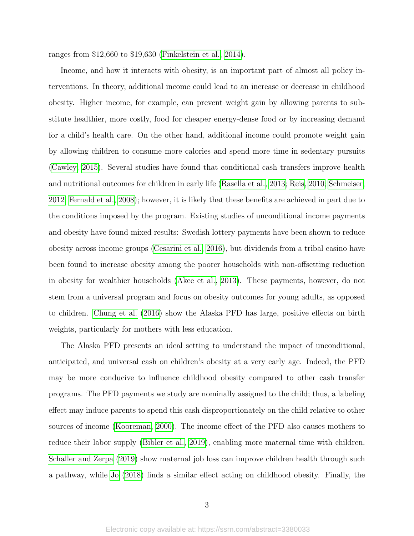ranges from \$12,660 to \$19,630 [\(Finkelstein et al., 2014\)](#page-21-4).

Income, and how it interacts with obesity, is an important part of almost all policy interventions. In theory, additional income could lead to an increase or decrease in childhood obesity. Higher income, for example, can prevent weight gain by allowing parents to substitute healthier, more costly, food for cheaper energy-dense food or by increasing demand for a child's health care. On the other hand, additional income could promote weight gain by allowing children to consume more calories and spend more time in sedentary pursuits [\(Cawley, 2015\)](#page-20-0). Several studies have found that conditional cash transfers improve health and nutritional outcomes for children in early life [\(Rasella et al., 2013;](#page-24-5) [Reis, 2010;](#page-24-6) [Schmeiser,](#page-24-7) [2012;](#page-24-7) [Fernald et al., 2008\)](#page-21-5); however, it is likely that these benefits are achieved in part due to the conditions imposed by the program. Existing studies of unconditional income payments and obesity have found mixed results: Swedish lottery payments have been shown to reduce obesity across income groups [\(Cesarini et al., 2016\)](#page-20-5), but dividends from a tribal casino have been found to increase obesity among the poorer households with non-offsetting reduction in obesity for wealthier households [\(Akee et al., 2013\)](#page-19-3). These payments, however, do not stem from a universal program and focus on obesity outcomes for young adults, as opposed to children. [Chung et al.](#page-20-6) [\(2016\)](#page-20-6) show the Alaska PFD has large, positive effects on birth weights, particularly for mothers with less education.

The Alaska PFD presents an ideal setting to understand the impact of unconditional, anticipated, and universal cash on children's obesity at a very early age. Indeed, the PFD may be more conducive to influence childhood obesity compared to other cash transfer programs. The PFD payments we study are nominally assigned to the child; thus, a labeling effect may induce parents to spend this cash disproportionately on the child relative to other sources of income [\(Kooreman, 2000\)](#page-22-5). The income effect of the PFD also causes mothers to reduce their labor supply [\(Bibler et al., 2019\)](#page-20-4), enabling more maternal time with children. [Schaller and Zerpa](#page-24-8) [\(2019\)](#page-24-8) show maternal job loss can improve children health through such a pathway, while [Jo](#page-22-6) [\(2018\)](#page-22-6) finds a similar effect acting on childhood obesity. Finally, the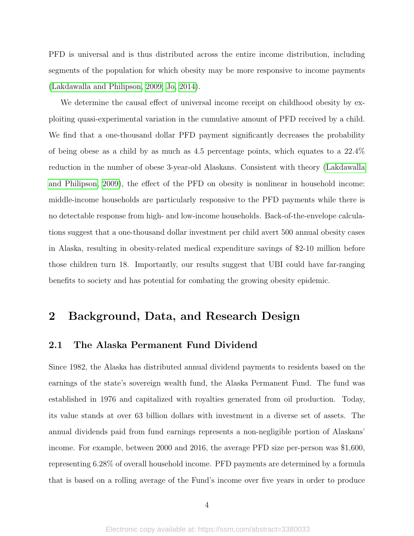PFD is universal and is thus distributed across the entire income distribution, including segments of the population for which obesity may be more responsive to income payments [\(Lakdawalla and Philipson, 2009;](#page-22-7) [Jo, 2014\)](#page-22-8).

We determine the causal effect of universal income receipt on childhood obesity by exploiting quasi-experimental variation in the cumulative amount of PFD received by a child. We find that a one-thousand dollar PFD payment significantly decreases the probability of being obese as a child by as much as 4.5 percentage points, which equates to a 22.4% reduction in the number of obese 3-year-old Alaskans. Consistent with theory [\(Lakdawalla](#page-22-7) [and Philipson, 2009\)](#page-22-7), the effect of the PFD on obesity is nonlinear in household income: middle-income households are particularly responsive to the PFD payments while there is no detectable response from high- and low-income households. Back-of-the-envelope calculations suggest that a one-thousand dollar investment per child avert 500 annual obesity cases in Alaska, resulting in obesity-related medical expenditure savings of \$2-10 million before those children turn 18. Importantly, our results suggest that UBI could have far-ranging benefits to society and has potential for combating the growing obesity epidemic.

## 2 Background, Data, and Research Design

### 2.1 The Alaska Permanent Fund Dividend

Since 1982, the Alaska has distributed annual dividend payments to residents based on the earnings of the state's sovereign wealth fund, the Alaska Permanent Fund. The fund was established in 1976 and capitalized with royalties generated from oil production. Today, its value stands at over 63 billion dollars with investment in a diverse set of assets. The annual dividends paid from fund earnings represents a non-negligible portion of Alaskans' income. For example, between 2000 and 2016, the average PFD size per-person was \$1,600, representing 6.28% of overall household income. PFD payments are determined by a formula that is based on a rolling average of the Fund's income over five years in order to produce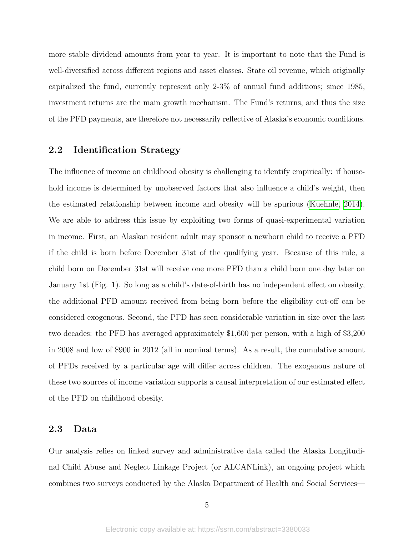more stable dividend amounts from year to year. It is important to note that the Fund is well-diversified across different regions and asset classes. State oil revenue, which originally capitalized the fund, currently represent only 2-3% of annual fund additions; since 1985, investment returns are the main growth mechanism. The Fund's returns, and thus the size of the PFD payments, are therefore not necessarily reflective of Alaska's economic conditions.

### 2.2 Identification Strategy

The influence of income on childhood obesity is challenging to identify empirically: if household income is determined by unobserved factors that also influence a child's weight, then the estimated relationship between income and obesity will be spurious [\(Kuehnle, 2014\)](#page-22-9). We are able to address this issue by exploiting two forms of quasi-experimental variation in income. First, an Alaskan resident adult may sponsor a newborn child to receive a PFD if the child is born before December 31st of the qualifying year. Because of this rule, a child born on December 31st will receive one more PFD than a child born one day later on January 1st (Fig. 1). So long as a child's date-of-birth has no independent effect on obesity, the additional PFD amount received from being born before the eligibility cut-off can be considered exogenous. Second, the PFD has seen considerable variation in size over the last two decades: the PFD has averaged approximately \$1,600 per person, with a high of \$3,200 in 2008 and low of \$900 in 2012 (all in nominal terms). As a result, the cumulative amount of PFDs received by a particular age will differ across children. The exogenous nature of these two sources of income variation supports a causal interpretation of our estimated effect of the PFD on childhood obesity.

### 2.3 Data

Our analysis relies on linked survey and administrative data called the Alaska Longitudinal Child Abuse and Neglect Linkage Project (or ALCANLink), an ongoing project which combines two surveys conducted by the Alaska Department of Health and Social Services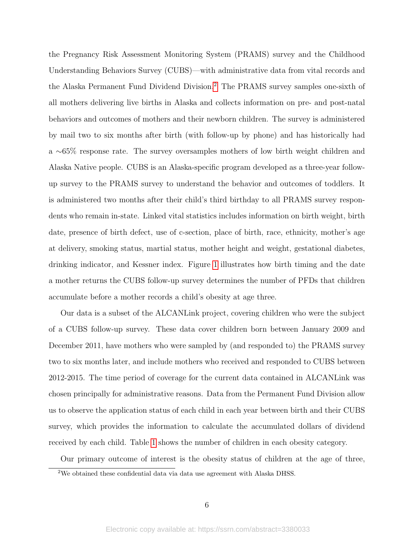the Pregnancy Risk Assessment Monitoring System (PRAMS) survey and the Childhood Understanding Behaviors Survey (CUBS)—with administrative data from vital records and the Alaska Permanent Fund Dividend Division.[2](#page-6-0) The PRAMS survey samples one-sixth of all mothers delivering live births in Alaska and collects information on pre- and post-natal behaviors and outcomes of mothers and their newborn children. The survey is administered by mail two to six months after birth (with follow-up by phone) and has historically had a ∼65% response rate. The survey oversamples mothers of low birth weight children and Alaska Native people. CUBS is an Alaska-specific program developed as a three-year followup survey to the PRAMS survey to understand the behavior and outcomes of toddlers. It is administered two months after their child's third birthday to all PRAMS survey respondents who remain in-state. Linked vital statistics includes information on birth weight, birth date, presence of birth defect, use of c-section, place of birth, race, ethnicity, mother's age at delivery, smoking status, martial status, mother height and weight, gestational diabetes, drinking indicator, and Kessner index. Figure [1](#page-26-0) illustrates how birth timing and the date a mother returns the CUBS follow-up survey determines the number of PFDs that children accumulate before a mother records a child's obesity at age three.

Our data is a subset of the ALCANLink project, covering children who were the subject of a CUBS follow-up survey. These data cover children born between January 2009 and December 2011, have mothers who were sampled by (and responded to) the PRAMS survey two to six months later, and include mothers who received and responded to CUBS between 2012-2015. The time period of coverage for the current data contained in ALCANLink was chosen principally for administrative reasons. Data from the Permanent Fund Division allow us to observe the application status of each child in each year between birth and their CUBS survey, which provides the information to calculate the accumulated dollars of dividend received by each child. Table [1](#page-26-1) shows the number of children in each obesity category.

Our primary outcome of interest is the obesity status of children at the age of three,

<span id="page-6-0"></span><sup>&</sup>lt;sup>2</sup>We obtained these confidential data via data use agreement with Alaska DHSS.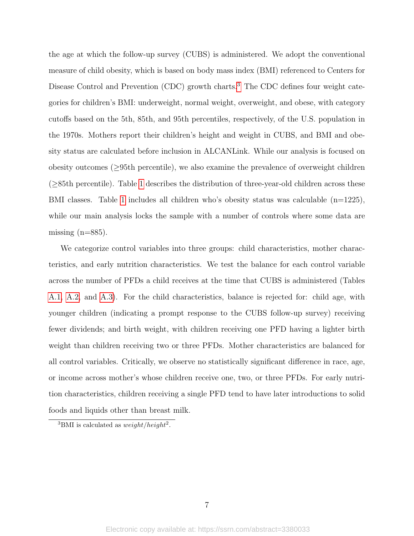the age at which the follow-up survey (CUBS) is administered. We adopt the conventional measure of child obesity, which is based on body mass index (BMI) referenced to Centers for Disease Control and Prevention (CDC) growth charts.<sup>[3](#page-7-0)</sup> The CDC defines four weight categories for children's BMI: underweight, normal weight, overweight, and obese, with category cutoffs based on the 5th, 85th, and 95th percentiles, respectively, of the U.S. population in the 1970s. Mothers report their children's height and weight in CUBS, and BMI and obesity status are calculated before inclusion in ALCANLink. While our analysis is focused on obesity outcomes  $(\geq 95$ th percentile), we also examine the prevalence of overweight children (≥85th percentile). Table [1](#page-26-1) describes the distribution of three-year-old children across these BMI classes. Table [1](#page-26-1) includes all children who's obesity status was calculable  $(n=1225)$ , while our main analysis locks the sample with a number of controls where some data are missing  $(n=885)$ .

We categorize control variables into three groups: child characteristics, mother characteristics, and early nutrition characteristics. We test the balance for each control variable across the number of PFDs a child receives at the time that CUBS is administered (Tables [A.1,](#page-38-0) [A.2,](#page-39-0) and [A.3\)](#page-40-0). For the child characteristics, balance is rejected for: child age, with younger children (indicating a prompt response to the CUBS follow-up survey) receiving fewer dividends; and birth weight, with children receiving one PFD having a lighter birth weight than children receiving two or three PFDs. Mother characteristics are balanced for all control variables. Critically, we observe no statistically significant difference in race, age, or income across mother's whose children receive one, two, or three PFDs. For early nutrition characteristics, children receiving a single PFD tend to have later introductions to solid foods and liquids other than breast milk.

<span id="page-7-0"></span><sup>&</sup>lt;sup>3</sup>BMI is calculated as  $weight/height^2$ .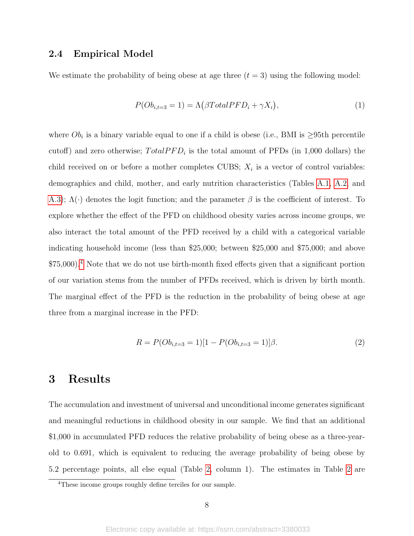### 2.4 Empirical Model

We estimate the probability of being obese at age three  $(t = 3)$  using the following model:

<span id="page-8-1"></span>
$$
P(Ob_{i,t=3} = 1) = \Lambda(\beta Total PFD_i + \gamma X_i), \qquad (1)
$$

where  $Ob_i$  is a binary variable equal to one if a child is obese (i.e., BMI is  $\geq 95$ th percentile cutoff) and zero otherwise;  $Total PFD<sub>i</sub>$  is the total amount of PFDs (in 1,000 dollars) the child received on or before a mother completes CUBS;  $X_i$  is a vector of control variables: demographics and child, mother, and early nutrition characteristics (Tables [A.1,](#page-38-0) [A.2,](#page-39-0) and [A.3\)](#page-40-0);  $\Lambda(\cdot)$  denotes the logit function; and the parameter  $\beta$  is the coefficient of interest. To explore whether the effect of the PFD on childhood obesity varies across income groups, we also interact the total amount of the PFD received by a child with a categorical variable indicating household income (less than \$25,000; between \$25,000 and \$75,000; and above \$75,000).[4](#page-8-0) Note that we do not use birth-month fixed effects given that a significant portion of our variation stems from the number of PFDs received, which is driven by birth month. The marginal effect of the PFD is the reduction in the probability of being obese at age three from a marginal increase in the PFD:

<span id="page-8-2"></span>
$$
R = P(Ob_{i,t=3} = 1)[1 - P(Ob_{i,t=3} = 1)]\beta.
$$
\n<sup>(2)</sup>

## 3 Results

The accumulation and investment of universal and unconditional income generates significant and meaningful reductions in childhood obesity in our sample. We find that an additional \$1,000 in accumulated PFD reduces the relative probability of being obese as a three-yearold to 0.691, which is equivalent to reducing the average probability of being obese by 5.2 percentage points, all else equal (Table [2,](#page-27-0) column 1). The estimates in Table [2](#page-27-0) are

<span id="page-8-0"></span><sup>&</sup>lt;sup>4</sup>These income groups roughly define terciles for our sample.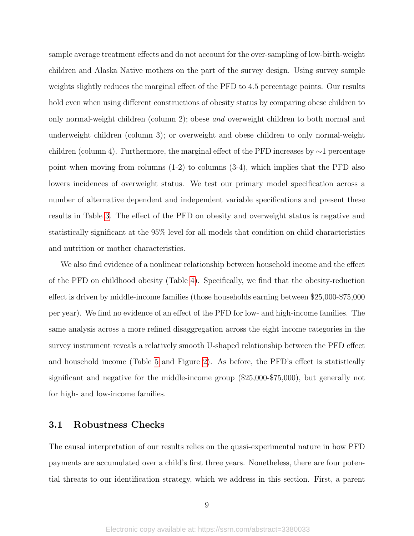sample average treatment effects and do not account for the over-sampling of low-birth-weight children and Alaska Native mothers on the part of the survey design. Using survey sample weights slightly reduces the marginal effect of the PFD to 4.5 percentage points. Our results hold even when using different constructions of obesity status by comparing obese children to only normal-weight children (column 2); obese and overweight children to both normal and underweight children (column 3); or overweight and obese children to only normal-weight children (column 4). Furthermore, the marginal effect of the PFD increases by ∼1 percentage point when moving from columns (1-2) to columns (3-4), which implies that the PFD also lowers incidences of overweight status. We test our primary model specification across a number of alternative dependent and independent variable specifications and present these results in Table [3.](#page-27-1) The effect of the PFD on obesity and overweight status is negative and statistically significant at the 95% level for all models that condition on child characteristics and nutrition or mother characteristics.

We also find evidence of a nonlinear relationship between household income and the effect of the PFD on childhood obesity (Table [4\)](#page-28-0). Specifically, we find that the obesity-reduction effect is driven by middle-income families (those households earning between \$25,000-\$75,000 per year). We find no evidence of an effect of the PFD for low- and high-income families. The same analysis across a more refined disaggregation across the eight income categories in the survey instrument reveals a relatively smooth U-shaped relationship between the PFD effect and household income (Table [5](#page-28-1) and Figure [2\)](#page-30-0). As before, the PFD's effect is statistically significant and negative for the middle-income group (\$25,000-\$75,000), but generally not for high- and low-income families.

### 3.1 Robustness Checks

The causal interpretation of our results relies on the quasi-experimental nature in how PFD payments are accumulated over a child's first three years. Nonetheless, there are four potential threats to our identification strategy, which we address in this section. First, a parent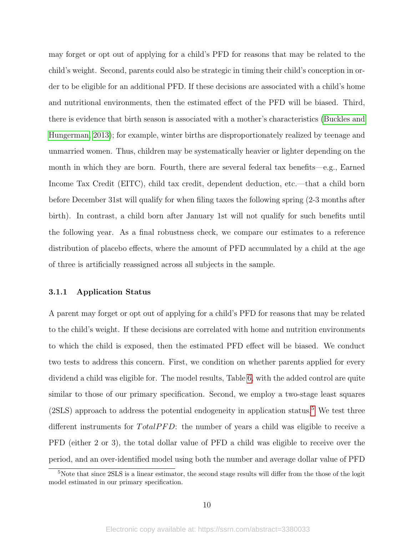may forget or opt out of applying for a child's PFD for reasons that may be related to the child's weight. Second, parents could also be strategic in timing their child's conception in order to be eligible for an additional PFD. If these decisions are associated with a child's home and nutritional environments, then the estimated effect of the PFD will be biased. Third, there is evidence that birth season is associated with a mother's characteristics [\(Buckles and](#page-20-7) [Hungerman, 2013\)](#page-20-7); for example, winter births are disproportionately realized by teenage and unmarried women. Thus, children may be systematically heavier or lighter depending on the month in which they are born. Fourth, there are several federal tax benefits—e.g., Earned Income Tax Credit (EITC), child tax credit, dependent deduction, etc.—that a child born before December 31st will qualify for when filing taxes the following spring (2-3 months after birth). In contrast, a child born after January 1st will not qualify for such benefits until the following year. As a final robustness check, we compare our estimates to a reference distribution of placebo effects, where the amount of PFD accumulated by a child at the age of three is artificially reassigned across all subjects in the sample.

#### 3.1.1 Application Status

A parent may forget or opt out of applying for a child's PFD for reasons that may be related to the child's weight. If these decisions are correlated with home and nutrition environments to which the child is exposed, then the estimated PFD effect will be biased. We conduct two tests to address this concern. First, we condition on whether parents applied for every dividend a child was eligible for. The model results, Table [6,](#page-29-0) with the added control are quite similar to those of our primary specification. Second, we employ a two-stage least squares  $(2SLS)$  approach to address the potential endogeneity in application status.<sup>[5](#page-10-0)</sup> We test three different instruments for  $Total PFD$ : the number of years a child was eligible to receive a PFD (either 2 or 3), the total dollar value of PFD a child was eligible to receive over the period, and an over-identified model using both the number and average dollar value of PFD

<span id="page-10-0"></span><sup>5</sup>Note that since 2SLS is a linear estimator, the second stage results will differ from the those of the logit model estimated in our primary specification.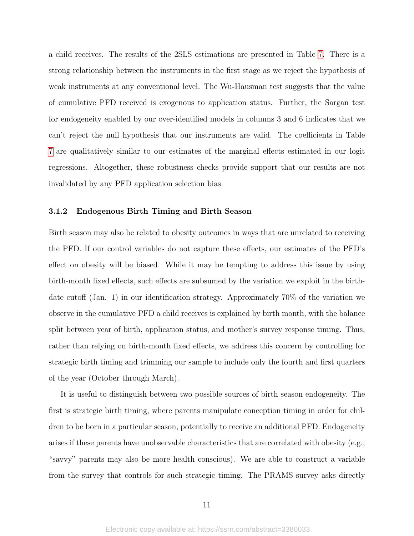a child receives. The results of the 2SLS estimations are presented in Table [7.](#page-29-1) There is a strong relationship between the instruments in the first stage as we reject the hypothesis of weak instruments at any conventional level. The Wu-Hausman test suggests that the value of cumulative PFD received is exogenous to application status. Further, the Sargan test for endogeneity enabled by our over-identified models in columns 3 and 6 indicates that we can't reject the null hypothesis that our instruments are valid. The coefficients in Table [7](#page-29-1) are qualitatively similar to our estimates of the marginal effects estimated in our logit regressions. Altogether, these robustness checks provide support that our results are not invalidated by any PFD application selection bias.

#### 3.1.2 Endogenous Birth Timing and Birth Season

Birth season may also be related to obesity outcomes in ways that are unrelated to receiving the PFD. If our control variables do not capture these effects, our estimates of the PFD's effect on obesity will be biased. While it may be tempting to address this issue by using birth-month fixed effects, such effects are subsumed by the variation we exploit in the birthdate cutoff (Jan. 1) in our identification strategy. Approximately 70% of the variation we observe in the cumulative PFD a child receives is explained by birth month, with the balance split between year of birth, application status, and mother's survey response timing. Thus, rather than relying on birth-month fixed effects, we address this concern by controlling for strategic birth timing and trimming our sample to include only the fourth and first quarters of the year (October through March).

It is useful to distinguish between two possible sources of birth season endogeneity. The first is strategic birth timing, where parents manipulate conception timing in order for children to be born in a particular season, potentially to receive an additional PFD. Endogeneity arises if these parents have unobservable characteristics that are correlated with obesity (e.g., "savvy" parents may also be more health conscious). We are able to construct a variable from the survey that controls for such strategic timing. The PRAMS survey asks directly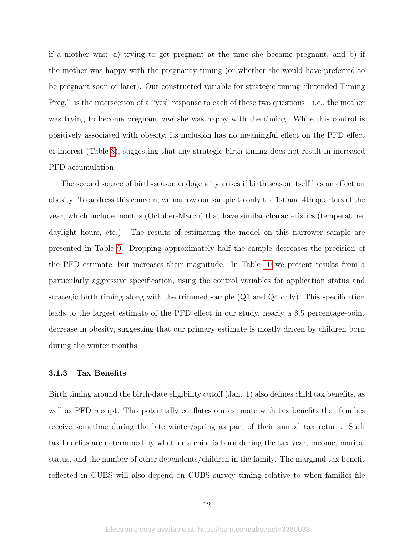if a mother was: a) trying to get pregnant at the time she became pregnant, and b) if the mother was happy with the pregnancy timing (or whether she would have preferred to be pregnant soon or later). Our constructed variable for strategic timing "Intended Timing Preg." is the intersection of a "yes" response to each of these two questions—i.e., the mother was trying to become pregnant *and* she was happy with the timing. While this control is positively associated with obesity, its inclusion has no meaningful effect on the PFD effect of interest (Table [8\)](#page-31-0), suggesting that any strategic birth timing does not result in increased PFD accumulation.

The second source of birth-season endogeneity arises if birth season itself has an effect on obesity. To address this concern, we narrow our sample to only the 1st and 4th quarters of the year, which include months (October-March) that have similar characteristics (temperature, daylight hours, etc.). The results of estimating the model on this narrower sample are presented in Table [9.](#page-31-1) Dropping approximately half the sample decreases the precision of the PFD estimate, but increases their magnitude. In Table [10](#page-32-0) we present results from a particularly aggressive specification, using the control variables for application status and strategic birth timing along with the trimmed sample (Q1 and Q4 only). This specification leads to the largest estimate of the PFD effect in our study, nearly a 8.5 percentage-point decrease in obesity, suggesting that our primary estimate is mostly driven by children born during the winter months.

#### 3.1.3 Tax Benefits

Birth timing around the birth-date eligibility cutoff (Jan. 1) also defines child tax benefits, as well as PFD receipt. This potentially conflates our estimate with tax benefits that families receive sometime during the late winter/spring as part of their annual tax return. Such tax benefits are determined by whether a child is born during the tax year, income, marital status, and the number of other dependents/children in the family. The marginal tax benefit reflected in CUBS will also depend on CUBS survey timing relative to when families file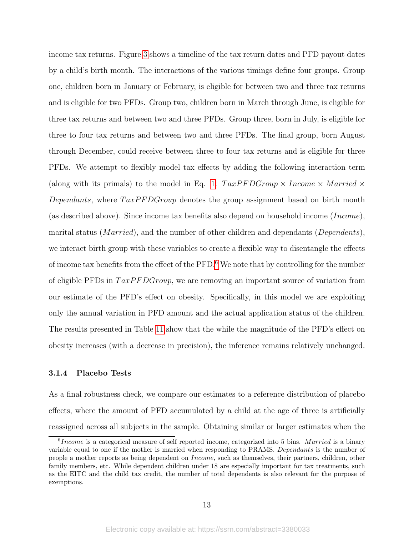income tax returns. Figure [3](#page-30-1) shows a timeline of the tax return dates and PFD payout dates by a child's birth month. The interactions of the various timings define four groups. Group one, children born in January or February, is eligible for between two and three tax returns and is eligible for two PFDs. Group two, children born in March through June, is eligible for three tax returns and between two and three PFDs. Group three, born in July, is eligible for three to four tax returns and between two and three PFDs. The final group, born August through December, could receive between three to four tax returns and is eligible for three PFDs. We attempt to flexibly model tax effects by adding the following interaction term (along with its primals) to the model in Eq. [1:](#page-8-1)  $TaxPFDGroup \times Income \times Married \times$ Dependants, where  $TaxPFDGroup$  denotes the group assignment based on birth month (as described above). Since income tax benefits also depend on household income (*Income*), marital status (*Married*), and the number of other children and dependants (*Dependents*), we interact birth group with these variables to create a flexible way to disentangle the effects of income tax benefits from the effect of the PFD.[6](#page-13-0) We note that by controlling for the number of eligible PFDs in  $TaxPFDGroup$ , we are removing an important source of variation from our estimate of the PFD's effect on obesity. Specifically, in this model we are exploiting only the annual variation in PFD amount and the actual application status of the children. The results presented in Table [11](#page-32-1) show that the while the magnitude of the PFD's effect on obesity increases (with a decrease in precision), the inference remains relatively unchanged.

#### 3.1.4 Placebo Tests

As a final robustness check, we compare our estimates to a reference distribution of placebo effects, where the amount of PFD accumulated by a child at the age of three is artificially reassigned across all subjects in the sample. Obtaining similar or larger estimates when the

<span id="page-13-0"></span> $6 Income$  is a categorical measure of self reported income, categorized into 5 bins. Married is a binary variable equal to one if the mother is married when responding to PRAMS. Dependants is the number of people a mother reports as being dependent on Income, such as themselves, their partners, children, other family members, etc. While dependent children under 18 are especially important for tax treatments, such as the EITC and the child tax credit, the number of total dependents is also relevant for the purpose of exemptions.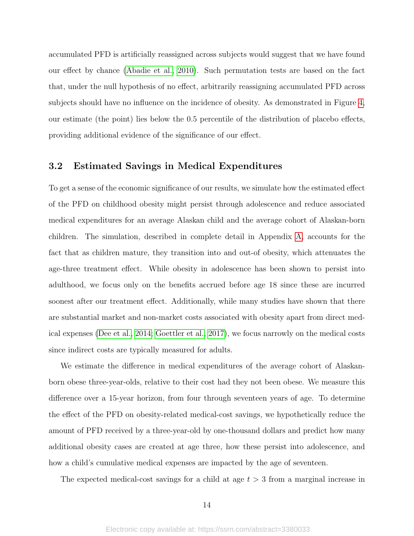accumulated PFD is artificially reassigned across subjects would suggest that we have found our effect by chance [\(Abadie et al., 2010\)](#page-19-4). Such permutation tests are based on the fact that, under the null hypothesis of no effect, arbitrarily reassigning accumulated PFD across subjects should have no influence on the incidence of obesity. As demonstrated in Figure [4,](#page-33-0) our estimate (the point) lies below the 0.5 percentile of the distribution of placebo effects, providing additional evidence of the significance of our effect.

### 3.2 Estimated Savings in Medical Expenditures

To get a sense of the economic significance of our results, we simulate how the estimated effect of the PFD on childhood obesity might persist through adolescence and reduce associated medical expenditures for an average Alaskan child and the average cohort of Alaskan-born children. The simulation, described in complete detail in Appendix [A,](#page-34-0) accounts for the fact that as children mature, they transition into and out-of obesity, which attenuates the age-three treatment effect. While obesity in adolescence has been shown to persist into adulthood, we focus only on the benefits accrued before age 18 since these are incurred soonest after our treatment effect. Additionally, while many studies have shown that there are substantial market and non-market costs associated with obesity apart from direct medical expenses [\(Dee et al., 2014;](#page-21-6) [Goettler et al., 2017\)](#page-21-7), we focus narrowly on the medical costs since indirect costs are typically measured for adults.

We estimate the difference in medical expenditures of the average cohort of Alaskanborn obese three-year-olds, relative to their cost had they not been obese. We measure this difference over a 15-year horizon, from four through seventeen years of age. To determine the effect of the PFD on obesity-related medical-cost savings, we hypothetically reduce the amount of PFD received by a three-year-old by one-thousand dollars and predict how many additional obesity cases are created at age three, how these persist into adolescence, and how a child's cumulative medical expenses are impacted by the age of seventeen.

The expected medical-cost savings for a child at age  $t > 3$  from a marginal increase in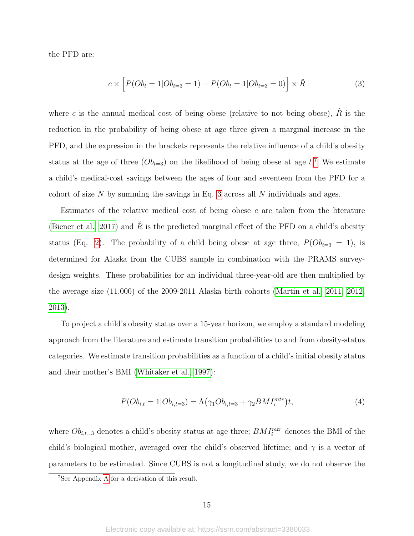the PFD are:

<span id="page-15-1"></span>
$$
c \times \left[ P(Ob_t = 1 | Ob_{t=3} = 1) - P(Ob_t = 1 | Ob_{t=3} = 0) \right] \times \hat{R}
$$
\n(3)

where c is the annual medical cost of being obese (relative to not being obese),  $\hat{R}$  is the reduction in the probability of being obese at age three given a marginal increase in the PFD, and the expression in the brackets represents the relative influence of a child's obesity status at the age of three  $(Ob_{t=3})$  on the likelihood of being obese at age  $t.^7$  $t.^7$ . We estimate a child's medical-cost savings between the ages of four and seventeen from the PFD for a cohort of size  $N$  by summing the savings in Eq. [3](#page-15-1) across all  $N$  individuals and ages.

Estimates of the relative medical cost of being obese c are taken from the literature [\(Biener et al., 2017\)](#page-20-3) and R is the predicted marginal effect of the PFD on a child's obesity status (Eq. [2\)](#page-8-2). The probability of a child being obese at age three,  $P(O_{t=3} = 1)$ , is determined for Alaska from the CUBS sample in combination with the PRAMS surveydesign weights. These probabilities for an individual three-year-old are then multiplied by the average size (11,000) of the 2009-2011 Alaska birth cohorts [\(Martin et al., 2011,](#page-23-5) [2012,](#page-23-6) [2013\)](#page-23-7).

To project a child's obesity status over a 15-year horizon, we employ a standard modeling approach from the literature and estimate transition probabilities to and from obesity-status categories. We estimate transition probabilities as a function of a child's initial obesity status and their mother's BMI [\(Whitaker et al., 1997\)](#page-25-0):

<span id="page-15-2"></span>
$$
P(Ob_{i,t} = 1|Ob_{i,t=3}) = \Lambda(\gamma_1 Ob_{i,t=3} + \gamma_2 BMI_i^{mtr})t,
$$
\n(4)

where  $Ob_{i,t=3}$  denotes a child's obesity status at age three;  $BMI_i^{mtr}$  denotes the BMI of the child's biological mother, averaged over the child's observed lifetime; and  $\gamma$  is a vector of parameters to be estimated. Since CUBS is not a longitudinal study, we do not observe the

<span id="page-15-0"></span><sup>7</sup>See Appendix [A](#page-34-0) for a derivation of this result.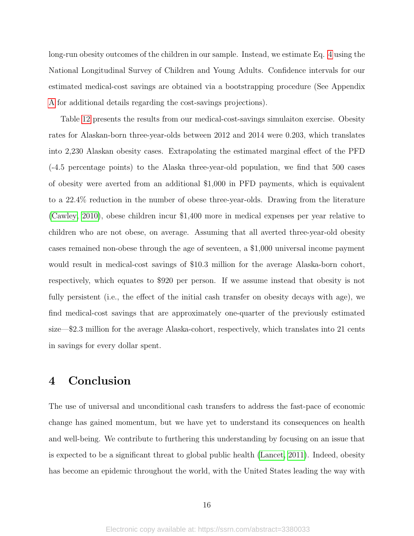long-run obesity outcomes of the children in our sample. Instead, we estimate Eq. [4](#page-15-2) using the National Longitudinal Survey of Children and Young Adults. Confidence intervals for our estimated medical-cost savings are obtained via a bootstrapping procedure (See Appendix [A](#page-34-0) for additional details regarding the cost-savings projections).

Table [12](#page-32-2) presents the results from our medical-cost-savings simulaiton exercise. Obesity rates for Alaskan-born three-year-olds between 2012 and 2014 were 0.203, which translates into 2,230 Alaskan obesity cases. Extrapolating the estimated marginal effect of the PFD (-4.5 percentage points) to the Alaska three-year-old population, we find that 500 cases of obesity were averted from an additional \$1,000 in PFD payments, which is equivalent to a 22.4% reduction in the number of obese three-year-olds. Drawing from the literature [\(Cawley, 2010\)](#page-20-8), obese children incur \$1,400 more in medical expenses per year relative to children who are not obese, on average. Assuming that all averted three-year-old obesity cases remained non-obese through the age of seventeen, a \$1,000 universal income payment would result in medical-cost savings of \$10.3 million for the average Alaska-born cohort, respectively, which equates to \$920 per person. If we assume instead that obesity is not fully persistent (i.e., the effect of the initial cash transfer on obesity decays with age), we find medical-cost savings that are approximately one-quarter of the previously estimated size—\$2.3 million for the average Alaska-cohort, respectively, which translates into 21 cents in savings for every dollar spent.

## 4 Conclusion

The use of universal and unconditional cash transfers to address the fast-pace of economic change has gained momentum, but we have yet to understand its consequences on health and well-being. We contribute to furthering this understanding by focusing on an issue that is expected to be a significant threat to global public health [\(Lancet, 2011\)](#page-23-3). Indeed, obesity has become an epidemic throughout the world, with the United States leading the way with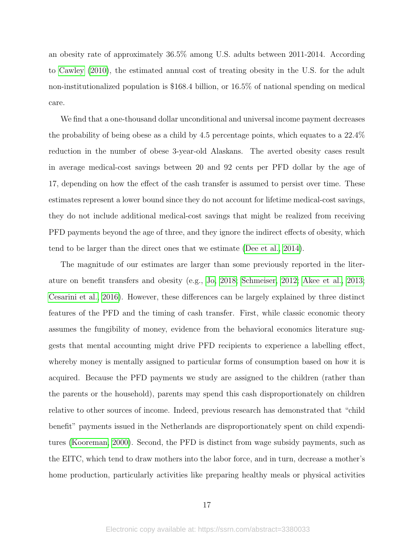an obesity rate of approximately 36.5% among U.S. adults between 2011-2014. According to [Cawley](#page-20-8) [\(2010\)](#page-20-8), the estimated annual cost of treating obesity in the U.S. for the adult non-institutionalized population is \$168.4 billion, or 16.5% of national spending on medical care.

We find that a one-thousand dollar unconditional and universal income payment decreases the probability of being obese as a child by 4.5 percentage points, which equates to a 22.4% reduction in the number of obese 3-year-old Alaskans. The averted obesity cases result in average medical-cost savings between 20 and 92 cents per PFD dollar by the age of 17, depending on how the effect of the cash transfer is assumed to persist over time. These estimates represent a lower bound since they do not account for lifetime medical-cost savings, they do not include additional medical-cost savings that might be realized from receiving PFD payments beyond the age of three, and they ignore the indirect effects of obesity, which tend to be larger than the direct ones that we estimate [\(Dee et al., 2014\)](#page-21-6).

The magnitude of our estimates are larger than some previously reported in the literature on benefit transfers and obesity (e.g., [Jo, 2018;](#page-22-6) [Schmeiser, 2012;](#page-24-7) [Akee et al., 2013;](#page-19-3) [Cesarini et al., 2016\)](#page-20-5). However, these differences can be largely explained by three distinct features of the PFD and the timing of cash transfer. First, while classic economic theory assumes the fungibility of money, evidence from the behavioral economics literature suggests that mental accounting might drive PFD recipients to experience a labelling effect, whereby money is mentally assigned to particular forms of consumption based on how it is acquired. Because the PFD payments we study are assigned to the children (rather than the parents or the household), parents may spend this cash disproportionately on children relative to other sources of income. Indeed, previous research has demonstrated that "child benefit" payments issued in the Netherlands are disproportionately spent on child expenditures [\(Kooreman, 2000\)](#page-22-5). Second, the PFD is distinct from wage subsidy payments, such as the EITC, which tend to draw mothers into the labor force, and in turn, decrease a mother's home production, particularly activities like preparing healthy meals or physical activities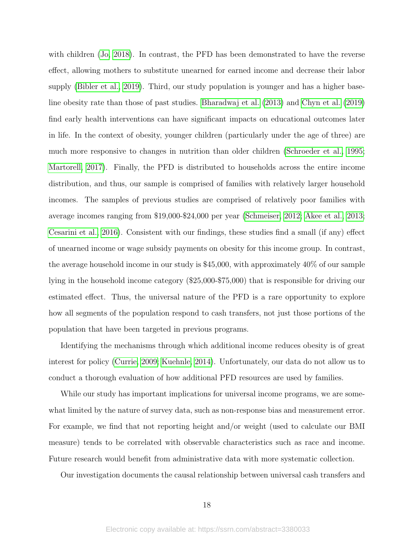with children [\(Jo, 2018\)](#page-22-6). In contrast, the PFD has been demonstrated to have the reverse effect, allowing mothers to substitute unearned for earned income and decrease their labor supply [\(Bibler et al., 2019\)](#page-20-4). Third, our study population is younger and has a higher baseline obesity rate than those of past studies. [Bharadwaj et al.](#page-20-1) [\(2013\)](#page-20-1) and [Chyn et al.](#page-20-2) [\(2019\)](#page-20-2) find early health interventions can have significant impacts on educational outcomes later in life. In the context of obesity, younger children (particularly under the age of three) are much more responsive to changes in nutrition than older children [\(Schroeder et al., 1995;](#page-24-9) [Martorell, 2017\)](#page-23-8). Finally, the PFD is distributed to households across the entire income distribution, and thus, our sample is comprised of families with relatively larger household incomes. The samples of previous studies are comprised of relatively poor families with average incomes ranging from \$19,000-\$24,000 per year [\(Schmeiser, 2012;](#page-24-7) [Akee et al., 2013;](#page-19-3) [Cesarini et al., 2016\)](#page-20-5). Consistent with our findings, these studies find a small (if any) effect of unearned income or wage subsidy payments on obesity for this income group. In contrast, the average household income in our study is \$45,000, with approximately 40% of our sample lying in the household income category (\$25,000-\$75,000) that is responsible for driving our estimated effect. Thus, the universal nature of the PFD is a rare opportunity to explore how all segments of the population respond to cash transfers, not just those portions of the population that have been targeted in previous programs.

Identifying the mechanisms through which additional income reduces obesity is of great interest for policy [\(Currie, 2009;](#page-21-8) [Kuehnle, 2014\)](#page-22-9). Unfortunately, our data do not allow us to conduct a thorough evaluation of how additional PFD resources are used by families.

While our study has important implications for universal income programs, we are somewhat limited by the nature of survey data, such as non-response bias and measurement error. For example, we find that not reporting height and/or weight (used to calculate our BMI measure) tends to be correlated with observable characteristics such as race and income. Future research would benefit from administrative data with more systematic collection.

Our investigation documents the causal relationship between universal cash transfers and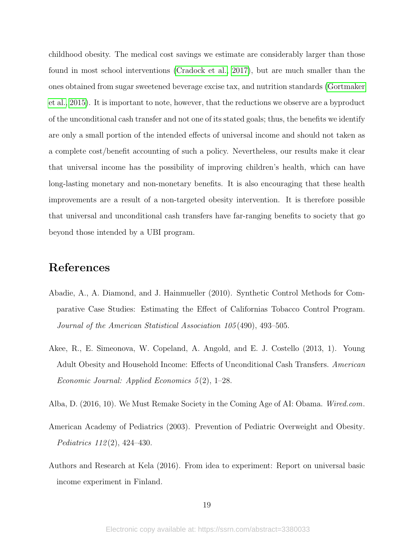childhood obesity. The medical cost savings we estimate are considerably larger than those found in most school interventions [\(Cradock et al., 2017\)](#page-20-9), but are much smaller than the ones obtained from sugar sweetened beverage excise tax, and nutrition standards [\(Gortmaker](#page-22-10) [et al., 2015\)](#page-22-10). It is important to note, however, that the reductions we observe are a byproduct of the unconditional cash transfer and not one of its stated goals; thus, the benefits we identify are only a small portion of the intended effects of universal income and should not taken as a complete cost/benefit accounting of such a policy. Nevertheless, our results make it clear that universal income has the possibility of improving children's health, which can have long-lasting monetary and non-monetary benefits. It is also encouraging that these health improvements are a result of a non-targeted obesity intervention. It is therefore possible that universal and unconditional cash transfers have far-ranging benefits to society that go beyond those intended by a UBI program.

### References

- <span id="page-19-4"></span>Abadie, A., A. Diamond, and J. Hainmueller (2010). Synthetic Control Methods for Comparative Case Studies: Estimating the Effect of Californias Tobacco Control Program. Journal of the American Statistical Association 105 (490), 493–505.
- <span id="page-19-3"></span>Akee, R., E. Simeonova, W. Copeland, A. Angold, and E. J. Costello (2013, 1). Young Adult Obesity and Household Income: Effects of Unconditional Cash Transfers. American Economic Journal: Applied Economics 5 (2), 1–28.
- <span id="page-19-0"></span>Alba, D. (2016, 10). We Must Remake Society in the Coming Age of AI: Obama. Wired.com.
- <span id="page-19-2"></span>American Academy of Pediatrics (2003). Prevention of Pediatric Overweight and Obesity. Pediatrics 112 (2), 424–430.
- <span id="page-19-1"></span>Authors and Research at Kela (2016). From idea to experiment: Report on universal basic income experiment in Finland.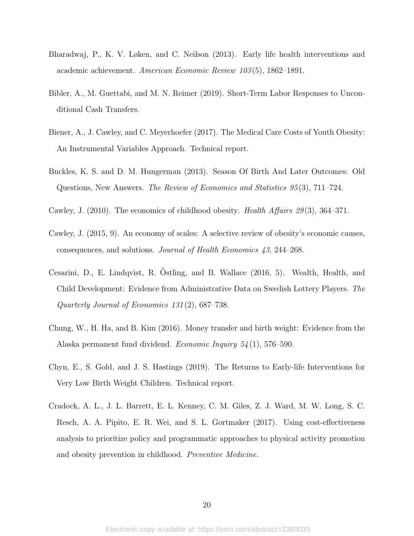- <span id="page-20-1"></span>Bharadwaj, P., K. V. Løken, and C. Neilson (2013). Early life health interventions and academic achievement. American Economic Review 103 (5), 1862–1891.
- <span id="page-20-4"></span>Bibler, A., M. Guettabi, and M. N. Reimer (2019). Short-Term Labor Responses to Unconditional Cash Transfers.
- <span id="page-20-3"></span>Biener, A., J. Cawley, and C. Meyerhoefer (2017). The Medical Care Costs of Youth Obesity: An Instrumental Variables Approach. Technical report.
- <span id="page-20-7"></span>Buckles, K. S. and D. M. Hungerman (2013). Season Of Birth And Later Outcomes: Old Questions, New Answers. The Review of Economics and Statistics 95 (3), 711–724.
- <span id="page-20-8"></span>Cawley, J. (2010). The economics of childhood obesity. Health Affairs 29(3), 364–371.
- <span id="page-20-0"></span>Cawley, J. (2015, 9). An economy of scales: A selective review of obesity's economic causes, consequences, and solutions. Journal of Health Economics 43, 244–268.
- <span id="page-20-5"></span>Cesarini, D., E. Lindqvist, R. Ostling, and B. Wallace (2016, 5). Wealth, Health, and ¨ Child Development: Evidence from Administrative Data on Swedish Lottery Players. The Quarterly Journal of Economics 131 (2), 687–738.
- <span id="page-20-6"></span>Chung, W., H. Ha, and B. Kim (2016). Money transfer and birth weight: Evidence from the Alaska permanent fund dividend. Economic Inquiry 54 (1), 576–590.
- <span id="page-20-2"></span>Chyn, E., S. Gold, and J. S. Hastings (2019). The Returns to Early-life Interventions for Very Low Birth Weight Children. Technical report.
- <span id="page-20-9"></span>Cradock, A. L., J. L. Barrett, E. L. Kenney, C. M. Giles, Z. J. Ward, M. W. Long, S. C. Resch, A. A. Pipito, E. R. Wei, and S. L. Gortmaker (2017). Using cost-effectiveness analysis to prioritize policy and programmatic approaches to physical activity promotion and obesity prevention in childhood. Preventive Medicine.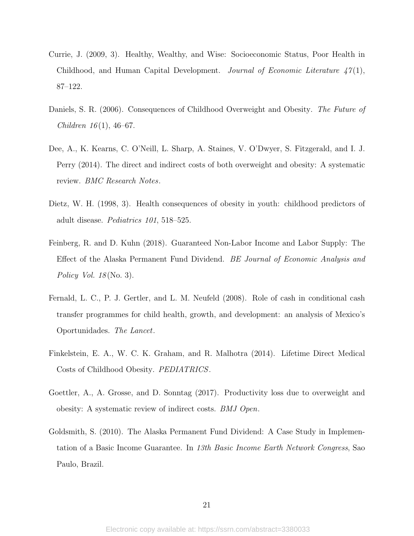- <span id="page-21-8"></span>Currie, J. (2009, 3). Healthy, Wealthy, and Wise: Socioeconomic Status, Poor Health in Childhood, and Human Capital Development. Journal of Economic Literature  $47(1)$ , 87–122.
- <span id="page-21-1"></span>Daniels, S. R. (2006). Consequences of Childhood Overweight and Obesity. The Future of Children  $16(1)$ , 46–67.
- <span id="page-21-6"></span>Dee, A., K. Kearns, C. O'Neill, L. Sharp, A. Staines, V. O'Dwyer, S. Fitzgerald, and I. J. Perry (2014). The direct and indirect costs of both overweight and obesity: A systematic review. BMC Research Notes.
- <span id="page-21-2"></span>Dietz, W. H. (1998, 3). Health consequences of obesity in youth: childhood predictors of adult disease. Pediatrics 101, 518–525.
- <span id="page-21-3"></span>Feinberg, R. and D. Kuhn (2018). Guaranteed Non-Labor Income and Labor Supply: The Effect of the Alaska Permanent Fund Dividend. BE Journal of Economic Analysis and Policy Vol.  $18$ (No. 3).
- <span id="page-21-5"></span>Fernald, L. C., P. J. Gertler, and L. M. Neufeld (2008). Role of cash in conditional cash transfer programmes for child health, growth, and development: an analysis of Mexico's Oportunidades. The Lancet.
- <span id="page-21-4"></span>Finkelstein, E. A., W. C. K. Graham, and R. Malhotra (2014). Lifetime Direct Medical Costs of Childhood Obesity. PEDIATRICS.
- <span id="page-21-7"></span>Goettler, A., A. Grosse, and D. Sonntag (2017). Productivity loss due to overweight and obesity: A systematic review of indirect costs. BMJ Open.
- <span id="page-21-0"></span>Goldsmith, S. (2010). The Alaska Permanent Fund Dividend: A Case Study in Implementation of a Basic Income Guarantee. In 13th Basic Income Earth Network Congress, Sao Paulo, Brazil.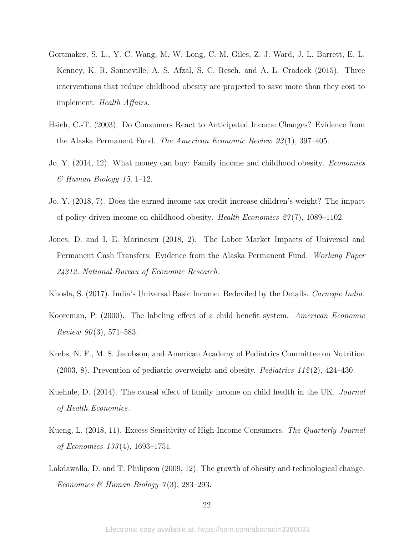- <span id="page-22-10"></span>Gortmaker, S. L., Y. C. Wang, M. W. Long, C. M. Giles, Z. J. Ward, J. L. Barrett, E. L. Kenney, K. R. Sonneville, A. S. Afzal, S. C. Resch, and A. L. Cradock (2015). Three interventions that reduce childhood obesity are projected to save more than they cost to implement. Health Affairs.
- <span id="page-22-2"></span>Hsieh, C.-T. (2003). Do Consumers React to Anticipated Income Changes? Evidence from the Alaska Permanent Fund. The American Economic Review  $93(1)$ , 397–405.
- <span id="page-22-8"></span>Jo, Y. (2014, 12). What money can buy: Family income and childhood obesity. Economics  $\mathcal C$  Human Biology 15, 1–12.
- <span id="page-22-6"></span>Jo, Y. (2018, 7). Does the earned income tax credit increase children's weight? The impact of policy-driven income on childhood obesity. Health Economics  $27(7)$ , 1089–1102.
- <span id="page-22-4"></span>Jones, D. and I. E. Marinescu (2018, 2). The Labor Market Impacts of Universal and Permanent Cash Transfers: Evidence from the Alaska Permanent Fund. Working Paper 24312. National Bureau of Economic Research.
- <span id="page-22-0"></span>Khosla, S. (2017). India's Universal Basic Income: Bedeviled by the Details. Carnegie India.
- <span id="page-22-5"></span>Kooreman, P. (2000). The labeling effect of a child benefit system. American Economic *Review 90*(3), 571–583.
- <span id="page-22-1"></span>Krebs, N. F., M. S. Jacobson, and American Academy of Pediatrics Committee on Nutrition  $(2003, 8)$ . Prevention of pediatric overweight and obesity. *Pediatrics* 112(2), 424–430.
- <span id="page-22-9"></span>Kuehnle, D. (2014). The causal effect of family income on child health in the UK. *Journal* of Health Economics.
- <span id="page-22-3"></span>Kueng, L. (2018, 11). Excess Sensitivity of High-Income Consumers. The Quarterly Journal of Economics 133 (4), 1693–1751.
- <span id="page-22-7"></span>Lakdawalla, D. and T. Philipson (2009, 12). The growth of obesity and technological change. Economics & Human Biology  $7(3)$ , 283-293.

22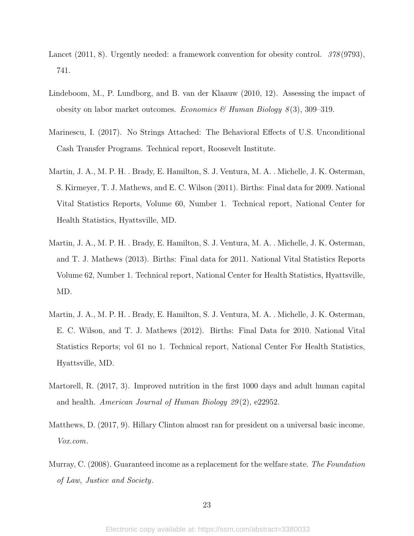- <span id="page-23-3"></span>Lancet (2011, 8). Urgently needed: a framework convention for obesity control. 378 (9793), 741.
- <span id="page-23-4"></span>Lindeboom, M., P. Lundborg, and B. van der Klaauw (2010, 12). Assessing the impact of obesity on labor market outcomes. Economics & Human Biology  $8(3)$ , 309–319.
- <span id="page-23-1"></span>Marinescu, I. (2017). No Strings Attached: The Behavioral Effects of U.S. Unconditional Cash Transfer Programs. Technical report, Roosevelt Institute.
- <span id="page-23-5"></span>Martin, J. A., M. P. H. . Brady, E. Hamilton, S. J. Ventura, M. A. . Michelle, J. K. Osterman, S. Kirmeyer, T. J. Mathews, and E. C. Wilson (2011). Births: Final data for 2009. National Vital Statistics Reports, Volume 60, Number 1. Technical report, National Center for Health Statistics, Hyattsville, MD.
- <span id="page-23-7"></span>Martin, J. A., M. P. H. . Brady, E. Hamilton, S. J. Ventura, M. A. . Michelle, J. K. Osterman, and T. J. Mathews (2013). Births: Final data for 2011. National Vital Statistics Reports Volume 62, Number 1. Technical report, National Center for Health Statistics, Hyattsville, MD.
- <span id="page-23-6"></span>Martin, J. A., M. P. H. . Brady, E. Hamilton, S. J. Ventura, M. A. . Michelle, J. K. Osterman, E. C. Wilson, and T. J. Mathews (2012). Births: Final Data for 2010. National Vital Statistics Reports; vol 61 no 1. Technical report, National Center For Health Statistics, Hyattsville, MD.
- <span id="page-23-8"></span>Martorell, R. (2017, 3). Improved nutrition in the first 1000 days and adult human capital and health. American Journal of Human Biology 29 (2), e22952.
- <span id="page-23-2"></span>Matthews, D. (2017, 9). Hillary Clinton almost ran for president on a universal basic income. Vox.com.
- <span id="page-23-0"></span>Murray, C. (2008). Guaranteed income as a replacement for the welfare state. The Foundation of Law, Justice and Society.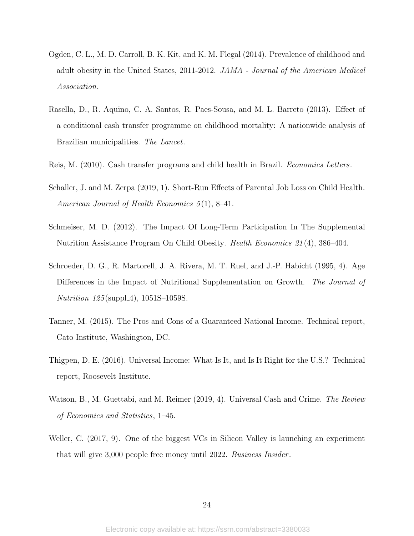- <span id="page-24-3"></span>Ogden, C. L., M. D. Carroll, B. K. Kit, and K. M. Flegal (2014). Prevalence of childhood and adult obesity in the United States, 2011-2012. JAMA - Journal of the American Medical Association.
- <span id="page-24-5"></span>Rasella, D., R. Aquino, C. A. Santos, R. Paes-Sousa, and M. L. Barreto (2013). Effect of a conditional cash transfer programme on childhood mortality: A nationwide analysis of Brazilian municipalities. The Lancet.
- <span id="page-24-6"></span>Reis, M. (2010). Cash transfer programs and child health in Brazil. Economics Letters.
- <span id="page-24-8"></span>Schaller, J. and M. Zerpa (2019, 1). Short-Run Effects of Parental Job Loss on Child Health. American Journal of Health Economics  $5(1)$ , 8-41.
- <span id="page-24-7"></span>Schmeiser, M. D. (2012). The Impact Of Long-Term Participation In The Supplemental Nutrition Assistance Program On Child Obesity. Health Economics 21 (4), 386–404.
- <span id="page-24-9"></span>Schroeder, D. G., R. Martorell, J. A. Rivera, M. T. Ruel, and J.-P. Habicht (1995, 4). Age Differences in the Impact of Nutritional Supplementation on Growth. The Journal of *Nutrition 125* (suppl\_4),  $1051S-1059S$ .
- <span id="page-24-2"></span>Tanner, M. (2015). The Pros and Cons of a Guaranteed National Income. Technical report, Cato Institute, Washington, DC.
- <span id="page-24-0"></span>Thigpen, D. E. (2016). Universal Income: What Is It, and Is It Right for the U.S.? Technical report, Roosevelt Institute.
- <span id="page-24-4"></span>Watson, B., M. Guettabi, and M. Reimer (2019, 4). Universal Cash and Crime. The Review of Economics and Statistics, 1–45.
- <span id="page-24-1"></span>Weller, C. (2017, 9). One of the biggest VCs in Silicon Valley is launching an experiment that will give 3,000 people free money until 2022. Business Insider .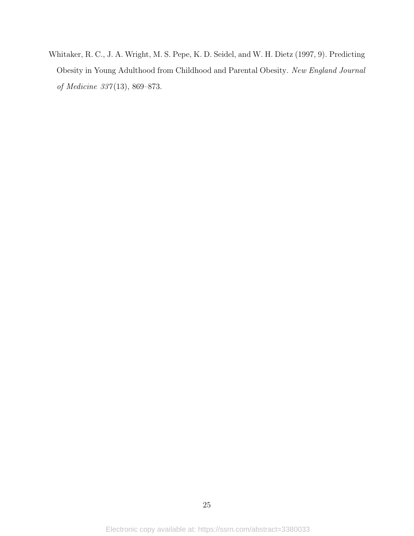<span id="page-25-0"></span>Whitaker, R. C., J. A. Wright, M. S. Pepe, K. D. Seidel, and W. H. Dietz (1997, 9). Predicting Obesity in Young Adulthood from Childhood and Parental Obesity. New England Journal of Medicine 337 (13), 869–873.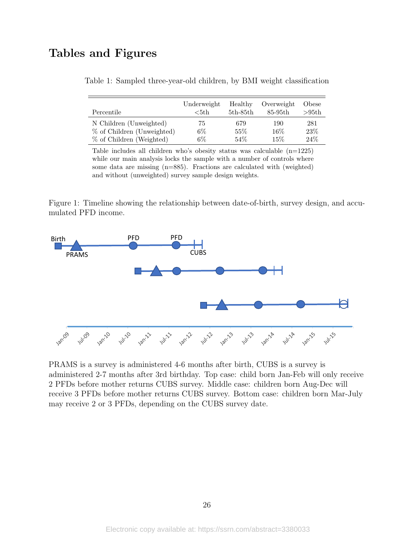## <span id="page-26-1"></span>Tables and Figures

| Percentile                 | Underweight<br>$5th$ | Healthy<br>$5th-85th$ | Overweight<br>85-95th | Obese<br>>95th |
|----------------------------|----------------------|-----------------------|-----------------------|----------------|
| N Children (Unweighted)    | 75                   | 679                   | 190                   | 281            |
| % of Children (Unweighted) | $6\%$                | 55%                   | 16\%                  | 23%            |
| % of Children (Weighted)   | $6\%$                | 54%                   | 15\%                  | 24%            |

|  | Table 1: Sampled three-year-old children, by BMI weight classification |  |  |
|--|------------------------------------------------------------------------|--|--|
|  |                                                                        |  |  |

Table includes all children who's obesity status was calculable (n=1225) while our main analysis locks the sample with a number of controls where some data are missing (n=885). Fractions are calculated with (weighted) and without (unweighted) survey sample design weights.

<span id="page-26-0"></span>Figure 1: Timeline showing the relationship between date-of-birth, survey design, and accumulated PFD income.



PRAMS is a survey is administered 4-6 months after birth, CUBS is a survey is administered 2-7 months after 3rd birthday. Top case: child born Jan-Feb will only receive 2 PFDs before mother returns CUBS survey. Middle case: children born Aug-Dec will receive 3 PFDs before mother returns CUBS survey. Bottom case: children born Mar-July may receive 2 or 3 PFDs, depending on the CUBS survey date.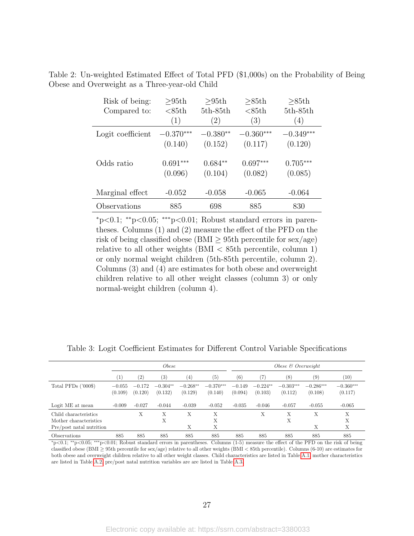| Risk of being:    | >95th       | >95th      | >85th       | >85th       |  |
|-------------------|-------------|------------|-------------|-------------|--|
| Compared to:      | $85th$      | $5th-85th$ | $85th$      | $5th-85th$  |  |
|                   | (1)         | (2)        | (3)         | (4)         |  |
| Logit coefficient | $-0.370***$ | $-0.380**$ | $-0.360***$ | $-0.349***$ |  |
|                   | (0.140)     | (0.152)    | (0.117)     | (0.120)     |  |
| Odds ratio        | $0.691***$  | $0.684**$  | $0.697***$  | $0.705***$  |  |
|                   | (0.096)     | (0.104)    | (0.082)     | (0.085)     |  |
| Marginal effect   | $-0.052$    | $-0.058$   | $-0.065$    | $-0.064$    |  |
| Observations      | 885         | 698        | 885         | 830         |  |

<span id="page-27-0"></span>Table 2: Un-weighted Estimated Effect of Total PFD (\$1,000s) on the Probability of Being Obese and Overweight as a Three-year-old Child

<sup>∗</sup>p<0.1; ∗∗p<0.05; ∗∗∗p<0.01; Robust standard errors in parentheses. Columns (1) and (2) measure the effect of the PFD on the risk of being classified obese (BMI  $\geq$  95th percentile for sex/age) relative to all other weights (BMI < 85th percentile, column 1) or only normal weight children (5th-85th percentile, column 2). Columns (3) and (4) are estimates for both obese and overweight children relative to all other weight classes (column 3) or only normal-weight children (column 4).

|                                                                             |                     | <i>Obese</i>        |                       |                       |                        |                     | Obese $\mathcal C$ Overweight |                        |                        |                        |  |
|-----------------------------------------------------------------------------|---------------------|---------------------|-----------------------|-----------------------|------------------------|---------------------|-------------------------------|------------------------|------------------------|------------------------|--|
|                                                                             | $\mathbf{1}$        | (2)                 | (3)                   | (4)                   | (5)                    | (6)                 | (7                            | (8)                    | $\left( 9\right)$      | (10)                   |  |
| Total PFDs $(2000\$                                                         | $-0.055$<br>(0.109) | $-0.172$<br>(0.120) | $-0.304**$<br>(0.132) | $-0.268**$<br>(0.129) | $-0.370***$<br>(0.140) | $-0.149$<br>(0.094) | $-0.224**$<br>(0.103)         | $-0.303***$<br>(0.112) | $-0.286***$<br>(0.108) | $-0.360***$<br>(0.117) |  |
| Logit ME at mean                                                            | $-0.009$            | $-0.027$            | $-0.044$              | $-0.039$              | $-0.052$               | $-0.035$            | $-0.046$                      | $-0.057$               | $-0.055$               | $-0.065$               |  |
| Child characteristics<br>Mother characteristics<br>Pre/post natal nutrition |                     | X                   | Х<br>Х                | Х<br>Х                | Х<br>Х<br>Х            |                     | Х                             | Х<br>Х                 | X<br>Х                 | X<br>X<br>X            |  |
| <i><b>Observations</b></i>                                                  | 885                 | 885                 | 885                   | 885                   | 885                    | 885                 | 885                           | 885                    | 885                    | 885                    |  |

<span id="page-27-1"></span>Table 3: Logit Coefficient Estimates for Different Control Variable Specifications

 $\frac{885}{-885}$   $\frac{885}{-885}$   $\frac{885}{-885}$   $\frac{885}{-885}$   $\frac{885}{-885}$   $\frac{885}{-885}$   $\frac{885}{-885}$   $\frac{885}{-885}$   $\frac{885}{-885}$   $\frac{885}{-885}$   $\frac{885}{-885}$   $\frac{885}{-885}$   $\frac{885}{-885}$   $\frac{885}{-885}$   $\frac{885}{-88$ classified obese (BMI <sup>≥</sup> 95th percentile for sex/age) relative to all other weights (BMI <sup>&</sup>lt; 85th percentile). Columns (6-10) are estimates for both obese and overweight children relative to all other weight classes. Child characteristics are listed in Table [A.1,](#page-38-0) mother characteristics are listed in Table [A.2,](#page-39-0) pre/post natal nutrition variables are are listed in Table [A.3.](#page-40-0)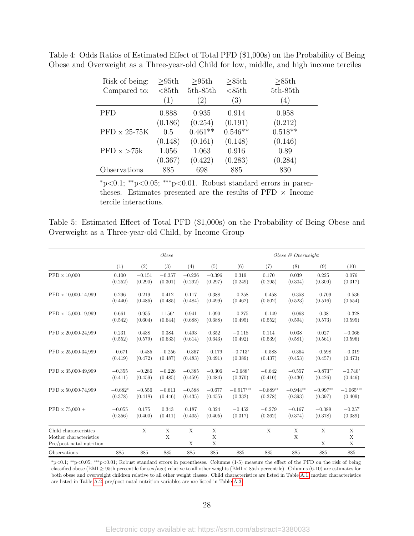| Risk of being:      | >95th   | >95th            | >85th     | >85th      |
|---------------------|---------|------------------|-----------|------------|
| Compared to:        | $85th$  | $5th-85th$       | $85th$    | $5th-85th$ |
|                     | (1)     | $\left(2\right)$ | (3)       | (4)        |
| PFD                 | 0.888   | 0.935            | 0.914     | 0.958      |
|                     | (0.186) | (0.254)          | (0.191)   | (0.212)    |
| $PFD \times 25-75K$ | 0.5     | $0.461**$        | $0.546**$ | $0.518**$  |
|                     | (0.148) | (0.161)          | (0.148)   | (0.146)    |
| PFD $x > 75k$       | 1.056   | 1.063            | 0.916     | 0.89       |
|                     | (0.367) | (0.422)          | (0.283)   | (0.284)    |
| Observations        | 885     | 698              | 885       | 830        |

<span id="page-28-0"></span>Table 4: Odds Ratios of Estimated Effect of Total PFD (\$1,000s) on the Probability of Being Obese and Overweight as a Three-year-old Child for low, middle, and high income terciles

<sup>∗</sup>p<0.1; ∗∗p<0.05; ∗∗∗p<0.01. Robust standard errors in parentheses. Estimates presented are the results of  $PFD \times$  Income tercile interactions.

<span id="page-28-1"></span>Table 5: Estimated Effect of Total PFD (\$1,000s) on the Probability of Being Obese and Overweight as a Three-year-old Child, by Income Group

|                                                                             |           |          | <i>Obese</i> |          |             | Obese $\mathcal B$ Overweight |            |            |            |             |
|-----------------------------------------------------------------------------|-----------|----------|--------------|----------|-------------|-------------------------------|------------|------------|------------|-------------|
|                                                                             | (1)       | (2)      | (3)          | (4)      | (5)         | (6)                           | (7)        | (8)        | (9)        | (10)        |
| PFD x 10,000                                                                | 0.100     | $-0.151$ | $-0.357$     | $-0.226$ | $-0.396$    | 0.319                         | 0.170      | 0.039      | 0.225      | 0.076       |
|                                                                             | (0.252)   | (0.290)  | (0.301)      | (0.292)  | (0.297)     | (0.249)                       | (0.295)    | (0.304)    | (0.309)    | (0.317)     |
| PFD x 10,000-14,999                                                         | 0.296     | 0.219    | 0.412        | 0.117    | 0.388       | $-0.258$                      | $-0.458$   | $-0.358$   | $-0.709$   | $-0.536$    |
|                                                                             | (0.440)   | (0.486)  | (0.485)      | (0.484)  | (0.499)     | (0.462)                       | (0.502)    | (0.523)    | (0.516)    | (0.554)     |
| PFD x 15,000-19,999                                                         | 0.661     | 0.955    | $1.156*$     | 0.941    | 1.090       | $-0.275$                      | $-0.149$   | $-0.068$   | $-0.381$   | $-0.328$    |
|                                                                             | (0.542)   | (0.604)  | (0.644)      | (0.688)  | (0.688)     | (0.495)                       | (0.552)    | (0.594)    | (0.573)    | (0.595)     |
| PFD x 20,000-24,999                                                         | 0.231     | 0.438    | 0.384        | 0.493    | 0.352       | $-0.118$                      | 0.114      | 0.038      | 0.027      | $-0.066$    |
|                                                                             | (0.552)   | (0.579)  | (0.633)      | (0.614)  | (0.643)     | (0.492)                       | (0.539)    | (0.581)    | (0.561)    | (0.596)     |
| PFD x 25,000-34,999                                                         | $-0.671$  | $-0.485$ | $-0.256$     | $-0.367$ | $-0.179$    | $-0.713*$                     | $-0.588$   | $-0.364$   | $-0.598$   | $-0.319$    |
|                                                                             | (0.419)   | (0.472)  | (0.487)      | (0.483)  | (0.491)     | (0.389)                       | (0.437)    | (0.453)    | (0.457)    | (0.473)     |
| PFD x 35,000-49,999                                                         | $-0.355$  | $-0.286$ | $-0.226$     | $-0.385$ | $-0.306$    | $-0.688*$                     | $-0.642$   | $-0.557$   | $-0.873**$ | $-0.740*$   |
|                                                                             | (0.411)   | (0.459)  | (0.485)      | (0.459)  | (0.484)     | (0.370)                       | (0.410)    | (0.430)    | (0.426)    | (0.446)     |
| PFD x 50,000-74,999                                                         | $-0.682*$ | $-0.556$ | $-0.611$     | $-0.588$ | $-0.677$    | $-0.917***$                   | $-0.889**$ | $-0.944**$ | $-0.997**$ | $-1.065***$ |
|                                                                             | (0.378)   | (0.418)  | (0.446)      | (0.435)  | (0.455)     | (0.332)                       | (0.378)    | (0.393)    | (0.397)    | (0.409)     |
| $PFD \times 75.000 +$                                                       | $-0.055$  | 0.175    | 0.343        | 0.187    | 0.324       | $-0.452$                      | $-0.279$   | $-0.167$   | $-0.389$   | $-0.257$    |
|                                                                             | (0.356)   | (0.400)  | (0.411)      | (0.405)  | (0.405)     | (0.317)                       | (0.362)    | (0.374)    | (0.378)    | (0.389)     |
| Child characteristics<br>Mother characteristics<br>Pre/post natal nutrition |           | X        | X<br>X       | X<br>X   | X<br>X<br>X |                               | X          | X<br>X     | X<br>X     | X<br>X<br>X |
| Observations                                                                | 885       | 885      | 885          | 885      | 885         | 885                           | 885        | 885        | 885        | 885         |

<sup>∗</sup>p<0.1; ∗∗p<0.05; ∗∗∗p<0.01; Robust standard errors in parentheses. Columns (1-5) measure the effect of the PFD on the risk of being classified obese (BMI <sup>≥</sup> 95th percentile for sex/age) relative to all other weights (BMI <sup>&</sup>lt; 85th percentile). Columns (6-10) are estimates for both obese and overweight children relative to all other weight classes. Child characteristics are listed in Table [A.1,](#page-38-0) mother characteristics are listed in Table [A.2,](#page-39-0) pre/post natal nutrition variables are are listed in Table [A.3.](#page-40-0)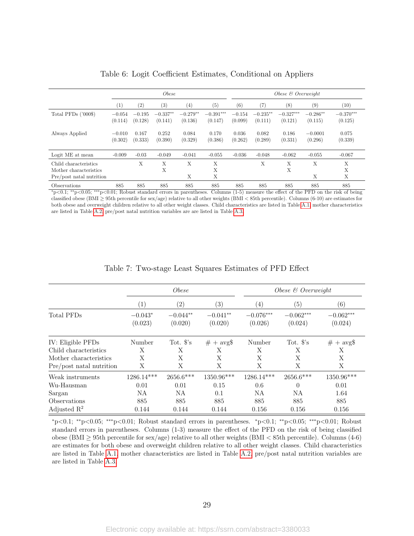<span id="page-29-0"></span>

|                                                                             |                     | <i>Obese</i>        |                       |                       |                        |                     | Obese $\&$ Overweight |                        |                       |                        |  |
|-----------------------------------------------------------------------------|---------------------|---------------------|-----------------------|-----------------------|------------------------|---------------------|-----------------------|------------------------|-----------------------|------------------------|--|
|                                                                             | $\left(1\right)$    | $\left( 2\right)$   | (3)                   | (4)                   | (5)                    | (6)                 | 7                     | (8)                    | (9)                   | (10)                   |  |
| Total PFDs $('000\$ )                                                       | $-0.054$<br>(0.114) | $-0.195$<br>(0.128) | $-0.337**$<br>(0.141) | $-0.279**$<br>(0.136) | $-0.391***$<br>(0.147) | $-0.154$<br>(0.099) | $-0.235**$<br>(0.111) | $-0.327***$<br>(0.121) | $-0.286**$<br>(0.115) | $-0.370***$<br>(0.125) |  |
| Always Applied                                                              | $-0.010$<br>(0.302) | 0.167<br>(0.333)    | 0.252<br>(0.390)      | 0.084<br>(0.329)      | 0.170<br>(0.386)       | 0.036<br>(0.262)    | 0.082<br>(0.289)      | 0.186<br>(0.331)       | $-0.0001$<br>(0.296)  | 0.075<br>(0.339)       |  |
| Logit ME at mean                                                            | $-0.009$            | $-0.03$             | $-0.049$              | $-0.041$              | $-0.055$               | $-0.036$            | $-0.048$              | $-0.062$               | $-0.055$              | $-0.067$               |  |
| Child characteristics<br>Mother characteristics<br>Pre/post natal nutrition |                     | X                   | X<br>X                | X<br>X                | X<br>X<br>Х            |                     | X                     | X<br>X                 | X<br>X                | X<br>X<br>X            |  |
| Observations                                                                | 885                 | 885                 | 885                   | 885                   | 885                    | 885                 | 885                   | 885                    | 885                   | 885                    |  |

Table 6: Logit Coefficient Estimates, Conditional on Appliers

<sup>∗</sup>p<0.1; ∗∗p<0.05; ∗∗∗p<0.01; Robust standard errors in parentheses. Columns (1-5) measure the effect of the PFD on the risk of being classified obese (BMI <sup>≥</sup> 95th percentile for sex/age) relative to all other weights (BMI <sup>&</sup>lt; 85th percentile). Columns (6-10) are estimates for both obese and overweight children relative to all other weight classes. Child characteristics are listed in Table [A.1,](#page-38-0) mother characteristics are listed in Table [A.2,](#page-39-0) pre/post natal nutrition variables are are listed in Table [A.3.](#page-40-0)

<span id="page-29-1"></span>

|                          |                      | <i>Obese</i>          |                       |                        | Obese $\&$ Overweight  |                          |  |  |  |
|--------------------------|----------------------|-----------------------|-----------------------|------------------------|------------------------|--------------------------|--|--|--|
|                          | $\left( 1\right)$    | $\left( 2\right)$     | $\left( 3\right)$     | $\left( 4\right)$      | (5)                    | $\left( 6\right)$        |  |  |  |
| Total PFDs               | $-0.043*$<br>(0.023) | $-0.044**$<br>(0.020) | $-0.041**$<br>(0.020) | $-0.076***$<br>(0.026) | $-0.062***$<br>(0.024) | $-0.062***$<br>(0.024)   |  |  |  |
| IV: Eligible PFDs        | Number               | Tot. $\mathcal{S}'s$  | $# + avg$             | Number                 | Tot. $\mathcal{S}'s$   | $# + avg$                |  |  |  |
| Child characteristics    | X                    | X                     | Х                     | X                      | X                      | Χ                        |  |  |  |
| Mother characteristics   | Х                    | X                     | X                     | X                      | X                      | Χ                        |  |  |  |
| Pre/post natal nutrition | X                    | X                     | X                     | X                      | X                      | X                        |  |  |  |
| Weak instruments         | $1286.14***$         | $2656.6***$           | 1350.96***            | 1286.14***             | $2656.6***$            | $1350.96^{\ast\ast\ast}$ |  |  |  |
| Wu-Hausman               | 0.01                 | 0.01                  | 0.15                  | 0.6                    | $\theta$               | 0.01                     |  |  |  |
| Sargan                   | NA                   | NA                    | 0.1                   | NA                     | NA                     | 1.64                     |  |  |  |
| Observations             | 885                  | 885                   | 885                   | 885                    | 885                    | 885                      |  |  |  |
| Adjusted $\mathbb{R}^2$  | 0.144                | 0.144                 | 0.144                 | 0.156                  | 0.156                  | 0.156                    |  |  |  |

Table 7: Two-stage Least Squares Estimates of PFD Effect

<sup>∗</sup>p<0.1; ∗∗p<0.05; ∗∗∗p<0.01; Robust standard errors in parentheses. <sup>∗</sup>p<0.1; ∗∗p<0.05; ∗∗∗p<0.01; Robust standard errors in parentheses. Columns (1-3) measure the effect of the PFD on the risk of being classified obese (BMI  $\geq$  95th percentile for sex/age) relative to all other weights (BMI  $\lt$  85th percentile). Columns (4-6) are estimates for both obese and overweight children relative to all other weight classes. Child characteristics are listed in Table [A.1,](#page-38-0) mother characteristics are listed in Table [A.2,](#page-39-0) pre/post natal nutrition variables are are listed in Table [A.3.](#page-40-0)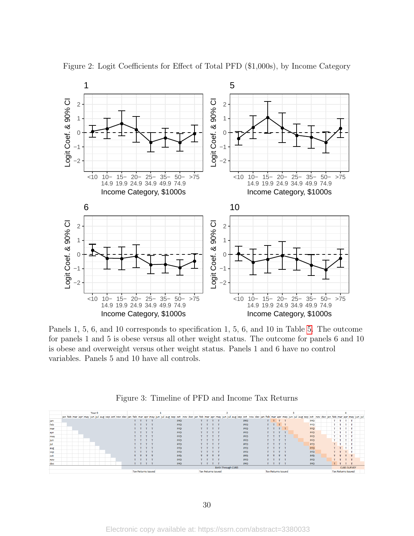

<span id="page-30-0"></span>Figure 2: Logit Coefficients for Effect of Total PFD (\$1,000s), by Income Category

Panels 1, 5, 6, and 10 corresponds to specification 1, 5, 6, and 10 in Table [5.](#page-28-1) The outcome for panels 1 and 5 is obese versus all other weight status. The outcome for panels 6 and 10 is obese and overweight versus other weight status. Panels 1 and 6 have no control variables. Panels 5 and 10 have all controls.



<span id="page-30-1"></span>

|     | Year 0 |                                                                                                                                                                                                                             |                           |                           |                           |
|-----|--------|-----------------------------------------------------------------------------------------------------------------------------------------------------------------------------------------------------------------------------|---------------------------|---------------------------|---------------------------|
|     |        | jan feb mar apr may jun jul aug sep oct nov dec jan feb mar apr may jun jul aug sep oct nov dec jan feb mar apr may jun jul aug sep oct nov dec jan feb mar apr may jun jul aug sep oct nov dec jan feb mar apr may jun jul |                           |                           |                           |
| jan |        | PFD                                                                                                                                                                                                                         | <b>PFD</b>                | PFD                       | T T                       |
| feb |        | PFD                                                                                                                                                                                                                         | <b>PFD</b>                | <b>PFD</b><br>$T$ $1$     | T<br>T T                  |
| mar |        | PFD                                                                                                                                                                                                                         | <b>PFD</b>                | <b>PFD</b>                | T<br>T T                  |
| apr |        | PFD                                                                                                                                                                                                                         | PFD                       | PFD                       | T T<br>T T                |
| may |        | PFD                                                                                                                                                                                                                         | <b>PFD</b>                | PFD                       | TTTT                      |
| jun |        | PFD                                                                                                                                                                                                                         | PFD                       | PFD                       | $T$ $T$<br>.              |
| jul |        | PFD                                                                                                                                                                                                                         | <b>PFD</b>                | PFD                       | $T$ $T$<br>T T            |
| aug |        | PFD                                                                                                                                                                                                                         | PFD                       | PFD                       | $T$ $T$ $T$ $T$           |
| sep |        | PFD                                                                                                                                                                                                                         | <b>PFD</b>                | PFD                       | TT.                       |
| oct |        | PFD                                                                                                                                                                                                                         | <b>PFD</b>                | PFD                       | T T                       |
| nov |        | PFD                                                                                                                                                                                                                         | PFD                       | PFD                       |                           |
| dec |        | PFD                                                                                                                                                                                                                         | PFD                       | PFD                       |                           |
|     |        |                                                                                                                                                                                                                             | <b>Birth Through CUBS</b> |                           | <b>CUBS SURVEY</b>        |
|     |        | <b>Tax Returns Issued</b>                                                                                                                                                                                                   | <b>Tax Returns Issued</b> | <b>Tax Returns Issued</b> | <b>Tax Returns Issued</b> |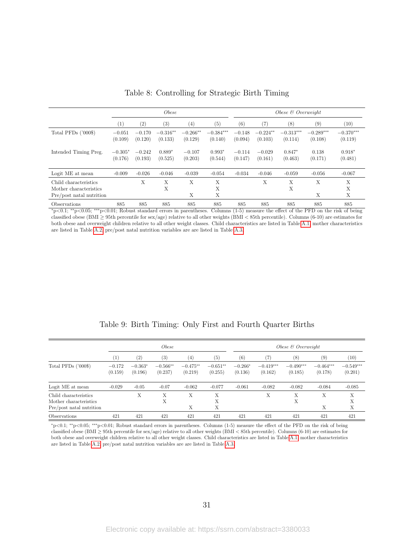<span id="page-31-0"></span>

|                                                                             |                      | <i>Obese</i>        |                       |                       |                        |                     | Obese $\&$ Overweight |                        |                        |                        |  |
|-----------------------------------------------------------------------------|----------------------|---------------------|-----------------------|-----------------------|------------------------|---------------------|-----------------------|------------------------|------------------------|------------------------|--|
|                                                                             | $\left(1\right)$     | $\left( 2\right)$   | (3)                   | (4)                   | (5)                    | (6)                 | 7,                    | (8)                    | (9)                    | (10)                   |  |
| Total PFDs $('000\$ )                                                       | $-0.051$<br>(0.109)  | $-0.170$<br>(0.120) | $-0.316**$<br>(0.133) | $-0.266**$<br>(0.129) | $-0.384***$<br>(0.140) | $-0.148$<br>(0.094) | $-0.224**$<br>(0.103) | $-0.313***$<br>(0.114) | $-0.289***$<br>(0.108) | $-0.370***$<br>(0.119) |  |
| Intended Timing Preg.                                                       | $-0.305*$<br>(0.176) | $-0.242$<br>(0.193) | $0.889*$<br>(0.525)   | $-0.107$<br>(0.203)   | $0.993*$<br>(0.544)    | $-0.114$<br>(0.147) | $-0.029$<br>(0.161)   | $0.847*$<br>(0.463)    | 0.138<br>(0.171)       | $0.918*$<br>(0.481)    |  |
| Logit ME at mean                                                            | $-0.009$             | $-0.026$            | $-0.046$              | $-0.039$              | $-0.054$               | $-0.034$            | $-0.046$              | $-0.059$               | $-0.056$               | $-0.067$               |  |
| Child characteristics<br>Mother characteristics<br>Pre/post natal nutrition |                      | X                   | X<br>X                | X<br>X                | X<br>X<br>X            |                     | X                     | X<br>X                 | X<br>X                 | X<br>X<br>X            |  |
| Observations                                                                | 885                  | 885                 | 885                   | 885                   | 885                    | 885                 | 885                   | 885                    | 885                    | 885                    |  |

| Table 8: Controlling for Strategic Birth Timing |  |  |
|-------------------------------------------------|--|--|
|                                                 |  |  |

<sup>∗</sup>p<0.1; ∗∗p<0.05; ∗∗∗p<0.01; Robust standard errors in parentheses. Columns (1-5) measure the effect of the PFD on the risk of being classified obese (BMI <sup>≥</sup> 95th percentile for sex/age) relative to all other weights (BMI <sup>&</sup>lt; 85th percentile). Columns (6-10) are estimates for both obese and overweight children relative to all other weight classes. Child characteristics are listed in Table [A.1,](#page-38-0) mother characteristics are listed in Table [A.2,](#page-39-0) pre/post natal nutrition variables are are listed in Table [A.3.](#page-40-0)

<span id="page-31-1"></span>

|                                                                             |                     | <i>Obese</i>         |                       |                       |                       |                      | $Obese \& Overweight$  |                        |                        |                        |  |
|-----------------------------------------------------------------------------|---------------------|----------------------|-----------------------|-----------------------|-----------------------|----------------------|------------------------|------------------------|------------------------|------------------------|--|
|                                                                             | $\left( 1\right)$   | (2)                  | $\left( 3\right)$     | (4)                   | (5)                   | (6)                  | (7)                    | (8)                    | (9)                    | (10)                   |  |
| Total PFDs $(7000\$                                                         | $-0.172$<br>(0.159) | $-0.363*$<br>(0.196) | $-0.566**$<br>(0.237) | $-0.475**$<br>(0.219) | $-0.651**$<br>(0.255) | $-0.266*$<br>(0.136) | $-0.419***$<br>(0.162) | $-0.490***$<br>(0.185) | $-0.464***$<br>(0.178) | $-0.549***$<br>(0.201) |  |
| Logit ME at mean                                                            | $-0.029$            | $-0.05$              | $-0.07$               | $-0.062$              | $-0.077$              | $-0.061$             | $-0.082$               | $-0.082$               | $-0.084$               | $-0.085$               |  |
| Child characteristics<br>Mother characteristics<br>Pre/post natal nutrition |                     | Х                    | Х<br>Х                | X<br>X                | X<br>X<br>Х           |                      | X                      | X<br>Х                 | X<br>X                 | X<br>Х<br>X            |  |
| Observations                                                                | 421                 | 421                  | 421                   | 421                   | 421                   | 421                  | 421                    | 421                    | 421                    | 421                    |  |

Table 9: Birth Timing: Only First and Fourth Quarter Births

<sup>∗</sup>p<0.1; ∗∗p<0.05; ∗∗∗p<0.01; Robust standard errors in parentheses. Columns (1-5) measure the effect of the PFD on the risk of being classified obese (BMI <sup>≥</sup> 95th percentile for sex/age) relative to all other weights (BMI <sup>&</sup>lt; 85th percentile). Columns (6-10) are estimates for both obese and overweight children relative to all other weight classes. Child characteristics are listed in Table [A.1,](#page-38-0) mother characteristics are listed in Table [A.2,](#page-39-0) pre/post natal nutrition variables are are listed in Table [A.3.](#page-40-0)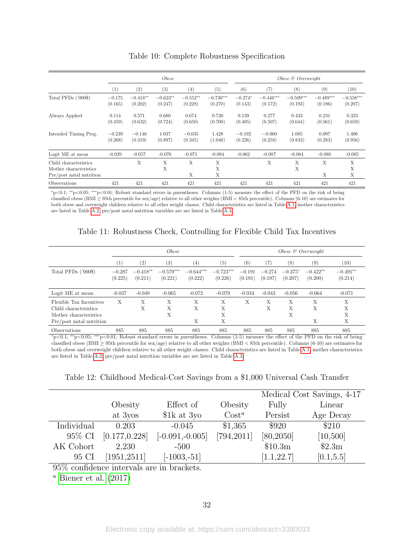<span id="page-32-0"></span>

|                                                                             | <i>Obese</i>        |                       |                       |                       | Obese $\mathcal B$ Overweight |                      |                        |                        |                        |                        |
|-----------------------------------------------------------------------------|---------------------|-----------------------|-----------------------|-----------------------|-------------------------------|----------------------|------------------------|------------------------|------------------------|------------------------|
|                                                                             | (1)                 | (2)                   | (3)                   | (4)                   | (5)                           | (6)                  | (7)                    | (8)                    | (9)                    | (10)                   |
| Total PFDs ('000\$)                                                         | $-0.175$<br>(0.165) | $-0.418**$<br>(0.202) | $-0.623**$<br>(0.247) | $-0.552**$<br>(0.228) | $-0.730***$<br>(0.270)        | $-0.274*$<br>(0.143) | $-0.446***$<br>(0.172) | $-0.509***$<br>(0.193) | $-0.489***$<br>(0.186) | $-0.558***$<br>(0.207) |
| Always Applied                                                              | 0.114<br>(0.459)    | 0.571<br>(0.632)      | 0.680<br>(0.724)      | 0.674<br>(0.650)      | 0.726<br>(0.700)              | 0.139<br>(0.405)     | 0.277<br>(0.507)       | 0.433<br>(0.644)       | 0.231<br>(0.561)       | 0.323<br>(0.659)       |
| Intended Timing Preg.                                                       | $-0.239$<br>(0.268) | $-0.146$<br>(0.319)   | 1.037<br>(0.897)      | $-0.035$<br>(0.345)   | 1.428<br>(1.048)              | $-0.192$<br>(0.226)  | $-0.060$<br>(0.258)    | 1.085<br>(0.833)       | 0.097<br>(0.283)       | 1.406<br>(0.956)       |
| Logit ME at mean                                                            | $-0.029$            | $-0.057$              | $-0.076$              | $-0.071$              | $-0.084$                      | $-0.062$             | $-0.087$               | $-0.084$               | $-0.088$               | $-0.085$               |
| Child characteristics<br>Mother characteristics<br>Pre/post natal nutrition |                     | X                     | X<br>X                | X<br>X                | X<br>X<br>X                   |                      | Х                      | Х<br>X                 | X<br>X                 | X<br>X<br>X            |
| Observations                                                                | 421                 | 421                   | 421                   | 421                   | 421                           | 421                  | 421                    | 421                    | 421                    | 421                    |

Table 10: Complete Robustness Specification

<sup>∗</sup>p<0.1; ∗∗p<0.05; ∗∗∗p<0.01; Robust standard errors in parentheses. Columns (1-5) measure the effect of the PFD on the risk of being classified obese (BMI <sup>≥</sup> 95th percentile for sex/age) relative to all other weights (BMI <sup>&</sup>lt; 85th percentile). Columns (6-10) are estimates for both obese and overweight children relative to all other weight classes. Child characteristics are listed in Table [A.1,](#page-38-0) mother characteristics are listed in Table [A.2,](#page-39-0) pre/post natal nutrition variables are are listed in Table [A.3.](#page-40-0)

|  | Table 11: Robustness Check, Controlling for Flexible Child Tax Incentives |  |  |  |  |  |  |  |
|--|---------------------------------------------------------------------------|--|--|--|--|--|--|--|
|--|---------------------------------------------------------------------------|--|--|--|--|--|--|--|

<span id="page-32-1"></span>

|                                                                                                        |                     | <i>Obese</i>          |                        |                        |                        |                     |                     |                      | Obese $\&$ Overweight |                       |
|--------------------------------------------------------------------------------------------------------|---------------------|-----------------------|------------------------|------------------------|------------------------|---------------------|---------------------|----------------------|-----------------------|-----------------------|
|                                                                                                        | $\left(1\right)$    | $\left( 2\right)$     | (3)                    | (4)                    | (5)                    | (6)                 | 7)                  | (8)                  | $\left( 9\right)$     | (10)                  |
| Total PFDs $('000\$ )                                                                                  | $-0.287$<br>(0.225) | $-0.418**$<br>(0.211) | $-0.579***$<br>(0.221) | $-0.644***$<br>(0.222) | $-0.723***$<br>(0.226) | $-0.191$<br>(0.191) | $-0.274$<br>(0.197) | $-0.375*$<br>(0.207) | $-0.422**$<br>(0.200) | $-0.491**$<br>(0.214) |
| Logit ME at mean                                                                                       | $-0.037$            | $-0.049$              | $-0.065$               | $-0.072$               | $-0.079$               | $-0.034$            | $-0.043$            | $-0.056$             | $-0.064$              | $-0.071$              |
| Flexible Tax Incentives<br>Child characteristics<br>Mother characteristics<br>Pre/post natal nutrition | Х                   | Х<br>Х                | Х<br>Х<br>X            | X<br>X<br>Х            | Х<br>Х<br>X<br>Х       | X                   | X<br>Х              | Х<br>Х<br>X          | Х<br>Х<br>Х           | Х<br>Х<br>X<br>X      |
| <i><b>Observations</b></i>                                                                             | 885                 | 885                   | 885                    | 885                    | 885                    | 885                 | 885                 | 885                  | 885                   | 885                   |

<sup>∗</sup>p<0.1; ∗∗p<0.05; ∗∗∗p<0.01; Robust standard errors in parentheses. Columns (1-5) measure the effect of the PFD on the risk of being classified obese (BMI <sup>≥</sup> 95th percentile for sex/age) relative to all other weights (BMI <sup>&</sup>lt; 85th percentile). Columns (6-10) are estimates for both obese and overweight children relative to all other weight classes. Child characteristics are listed in Table [A.1,](#page-38-0) mother characteristics are listed in Table [A.2,](#page-39-0) pre/post natal nutrition variables are are listed in Table [A.3.](#page-40-0)

<span id="page-32-2"></span>Table 12: Childhood Medical-Cost Savings from a \$1,000 Universal Cash Transfer

|            |                |                    |             |             | Medical Cost Savings, 4-17 |
|------------|----------------|--------------------|-------------|-------------|----------------------------|
|            | Obesity        | Effect of          | Obesity     | Fully       | Linear                     |
|            | at 3yos        | $1k$ at 3yo        | $Cost^a$    | Persist     | Age Decay                  |
| Individual | 0.203          | $-0.045$           | \$1,365     | \$920       | \$210                      |
| 95% CI     | [0.177, 0.228] | $[-0.091, -0.005]$ | [794, 2011] | [80, 2050]  | [10, 500]                  |
| AK Cohort  | 2,230          | $-500$             |             | \$10.3m     | \$2.3m                     |
| 95 CI      | [1951, 2511]   | $[-1003,-51]$      |             | [1.1, 22.7] | [0.1, 5.5]                 |

95% confidence intervals are in brackets.

<sup>*a*</sup> [Biener et al.](#page-20-3)  $(2017)$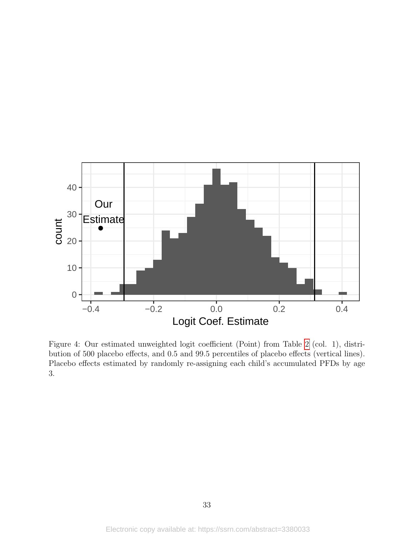<span id="page-33-0"></span>

Figure 4: Our estimated unweighted logit coefficient (Point) from Table [2](#page-27-0) (col. 1), distribution of 500 placebo effects, and 0.5 and 99.5 percentiles of placebo effects (vertical lines). Placebo effects estimated by randomly re-assigning each child's accumulated PFDs by age 3.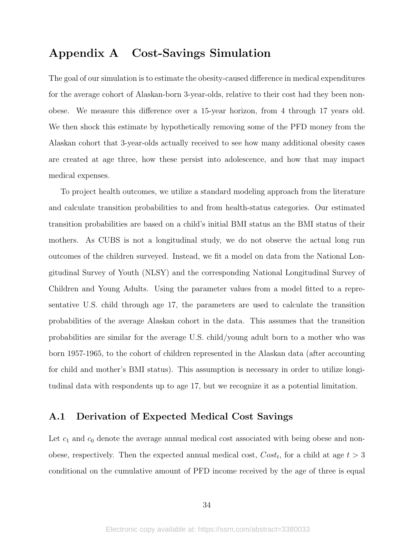## <span id="page-34-0"></span>Appendix A Cost-Savings Simulation

The goal of our simulation is to estimate the obesity-caused difference in medical expenditures for the average cohort of Alaskan-born 3-year-olds, relative to their cost had they been nonobese. We measure this difference over a 15-year horizon, from 4 through 17 years old. We then shock this estimate by hypothetically removing some of the PFD money from the Alaskan cohort that 3-year-olds actually received to see how many additional obesity cases are created at age three, how these persist into adolescence, and how that may impact medical expenses.

To project health outcomes, we utilize a standard modeling approach from the literature and calculate transition probabilities to and from health-status categories. Our estimated transition probabilities are based on a child's initial BMI status an the BMI status of their mothers. As CUBS is not a longitudinal study, we do not observe the actual long run outcomes of the children surveyed. Instead, we fit a model on data from the National Longitudinal Survey of Youth (NLSY) and the corresponding National Longitudinal Survey of Children and Young Adults. Using the parameter values from a model fitted to a representative U.S. child through age 17, the parameters are used to calculate the transition probabilities of the average Alaskan cohort in the data. This assumes that the transition probabilities are similar for the average U.S. child/young adult born to a mother who was born 1957-1965, to the cohort of children represented in the Alaskan data (after accounting for child and mother's BMI status). This assumption is necessary in order to utilize longitudinal data with respondents up to age 17, but we recognize it as a potential limitation.

### A.1 Derivation of Expected Medical Cost Savings

Let  $c_1$  and  $c_0$  denote the average annual medical cost associated with being obese and nonobese, respectively. Then the expected annual medical cost,  $Cost_t$ , for a child at age  $t > 3$ conditional on the cumulative amount of PFD income received by the age of three is equal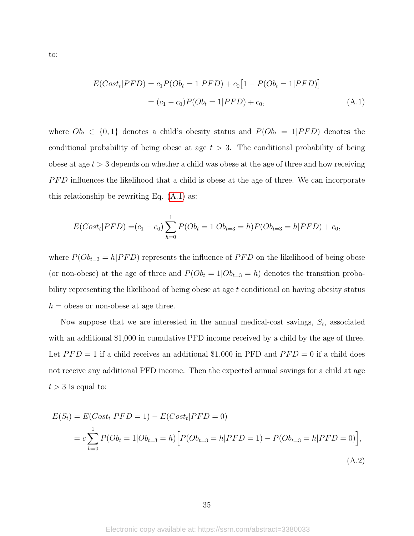to:

<span id="page-35-0"></span>
$$
E(Costt|PFD) = c1P(Obt = 1|PFD) + c0[1 - P(Obt = 1|PFD)]
$$
  
= (c<sub>1</sub> - c<sub>0</sub>)P(Ob<sub>t</sub> = 1|PFD) + c<sub>0</sub>, (A.1)

where  $Ob_t \in \{0,1\}$  denotes a child's obesity status and  $P(O_{t} = 1| PFD)$  denotes the conditional probability of being obese at age  $t > 3$ . The conditional probability of being obese at age  $t > 3$  depends on whether a child was obese at the age of three and how receiving PFD influences the likelihood that a child is obese at the age of three. We can incorporate this relationship be rewriting Eq. [\(A.1\)](#page-35-0) as:

$$
E(Costt|PFD) = (c1 - c0) \sum_{h=0}^{1} P(Obt = 1|Obt=3 = h) P(Obt=3 = h|PFD) + c0,
$$

where  $P(O_{t=3} = h|PFD)$  represents the influence of  $PFD$  on the likelihood of being obese (or non-obese) at the age of three and  $P(Ob_t = 1|Ob_{t=3} = h)$  denotes the transition probability representing the likelihood of being obese at age t conditional on having obesity status  $h =$  obese or non-obese at age three.

Now suppose that we are interested in the annual medical-cost savings,  $S_t$ , associated with an additional \$1,000 in cumulative PFD income received by a child by the age of three. Let  $PFD = 1$  if a child receives an additional \$1,000 in PFD and  $PFD = 0$  if a child does not receive any additional PFD income. Then the expected annual savings for a child at age  $t > 3$  is equal to:

<span id="page-35-1"></span>
$$
E(S_t) = E(Cost_t|PFD = 1) - E(Cost_t|PFD = 0)
$$
  
=  $c \sum_{h=0}^{1} P(Ob_t = 1|Ob_{t=3} = h) [P(Ob_{t=3} = h|PFD = 1) - P(Ob_{t=3} = h|PFD = 0)],$   
(A.2)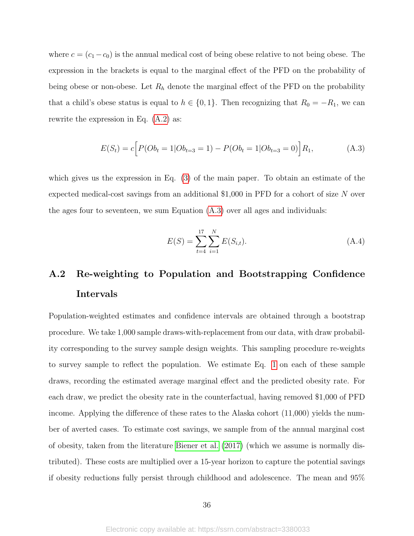where  $c = (c_1 - c_0)$  is the annual medical cost of being obese relative to not being obese. The expression in the brackets is equal to the marginal effect of the PFD on the probability of being obese or non-obese. Let  $R_h$  denote the marginal effect of the PFD on the probability that a child's obese status is equal to  $h \in \{0, 1\}$ . Then recognizing that  $R_0 = -R_1$ , we can rewrite the expression in Eq. [\(A.2\)](#page-35-1) as:

$$
E(S_t) = c \Big[ P(Ob_t = 1|Ob_{t=3} = 1) - P(Ob_t = 1|Ob_{t=3} = 0) \Big] R_1,
$$
\n(A.3)

which gives us the expression in Eq. [\(3\)](#page-15-1) of the main paper. To obtain an estimate of the expected medical-cost savings from an additional \$1,000 in PFD for a cohort of size N over the ages four to seventeen, we sum Equation [\(A.3\)](#page-36-0) over all ages and individuals:

<span id="page-36-0"></span>
$$
E(S) = \sum_{t=4}^{17} \sum_{i=1}^{N} E(S_{i,t}).
$$
\n(A.4)

# A.2 Re-weighting to Population and Bootstrapping Confidence Intervals

Population-weighted estimates and confidence intervals are obtained through a bootstrap procedure. We take 1,000 sample draws-with-replacement from our data, with draw probability corresponding to the survey sample design weights. This sampling procedure re-weights to survey sample to reflect the population. We estimate Eq. [1](#page-8-1) on each of these sample draws, recording the estimated average marginal effect and the predicted obesity rate. For each draw, we predict the obesity rate in the counterfactual, having removed \$1,000 of PFD income. Applying the difference of these rates to the Alaska cohort (11,000) yields the number of averted cases. To estimate cost savings, we sample from of the annual marginal cost of obesity, taken from the literature [Biener et al.](#page-20-3) [\(2017\)](#page-20-3) (which we assume is normally distributed). These costs are multiplied over a 15-year horizon to capture the potential savings if obesity reductions fully persist through childhood and adolescence. The mean and 95%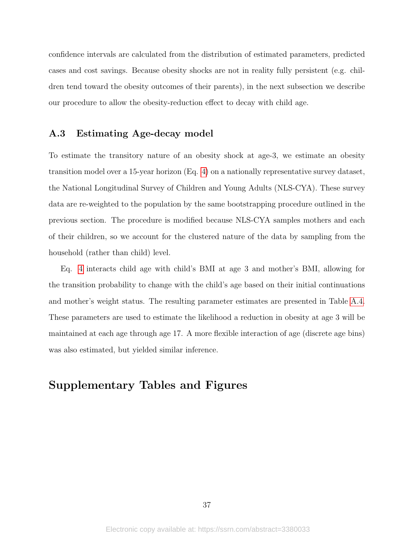confidence intervals are calculated from the distribution of estimated parameters, predicted cases and cost savings. Because obesity shocks are not in reality fully persistent (e.g. children tend toward the obesity outcomes of their parents), in the next subsection we describe our procedure to allow the obesity-reduction effect to decay with child age.

### A.3 Estimating Age-decay model

To estimate the transitory nature of an obesity shock at age-3, we estimate an obesity transition model over a 15-year horizon (Eq. [4\)](#page-15-2) on a nationally representative survey dataset, the National Longitudinal Survey of Children and Young Adults (NLS-CYA). These survey data are re-weighted to the population by the same bootstrapping procedure outlined in the previous section. The procedure is modified because NLS-CYA samples mothers and each of their children, so we account for the clustered nature of the data by sampling from the household (rather than child) level.

Eq. [4](#page-15-2) interacts child age with child's BMI at age 3 and mother's BMI, allowing for the transition probability to change with the child's age based on their initial continuations and mother's weight status. The resulting parameter estimates are presented in Table [A.4.](#page-40-1) These parameters are used to estimate the likelihood a reduction in obesity at age 3 will be maintained at each age through age 17. A more flexible interaction of age (discrete age bins) was also estimated, but yielded similar inference.

## Supplementary Tables and Figures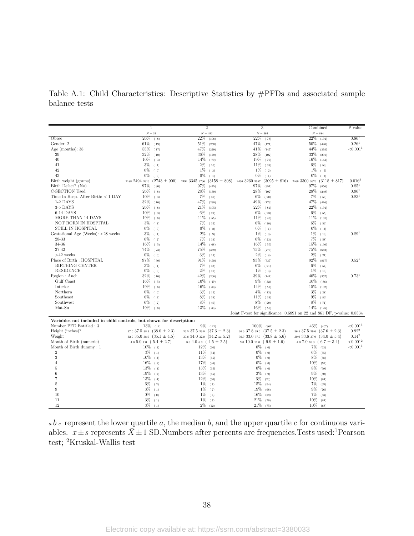<span id="page-38-0"></span>Table A.1: Child Characteristics: Descriptive Statistics by #PFDs and associated sample balance tests

|                                                                      | 1                                  | $\overline{2}$                       | 3                                                                       | Combined                          | $P-value$            |
|----------------------------------------------------------------------|------------------------------------|--------------------------------------|-------------------------------------------------------------------------|-----------------------------------|----------------------|
|                                                                      | ${\cal N}=31$                      | ${\cal N}=492$                       | ${\cal N}=361$                                                          | $N = 884$                         |                      |
| Obese                                                                | 26%<br>(8)                         | 22%<br>(108)                         | 22%<br>(78)                                                             | $22\%$ (194)                      | 0.86 <sup>1</sup>    |
| Gender: 2                                                            | $61\%$ (19)                        | 51%<br>(250)                         | 47\% (171)                                                              | $50\%$<br>(440)                   | 0.26 <sup>1</sup>    |
| Age (months): $38$                                                   | 55%<br>(17)                        | 47%<br>(229)                         | 41%<br>(147)                                                            | 44%<br>(393)                      | ${<}0.0011$          |
| 39                                                                   | 32%<br>(10)                        | 36%<br>(179)                         | 28%<br>(102)                                                            | 33%<br>(291)                      |                      |
| 40                                                                   | 10%<br>(3)                         | 14%<br>(70)                          | 19%<br>(70)                                                             | $16\%$<br>(143)                   |                      |
| 41                                                                   | $3\%$<br>(1)                       | $2\%$<br>(10)                        | 11%<br>(39)                                                             | $6\%$ (50)                        |                      |
| 42                                                                   | $0\%$<br>(0)                       | $1\%$<br>(3)                         | 1%<br>(2)                                                               | $1\%$<br>(5)                      |                      |
| 43                                                                   | $0\%$<br>(0)                       | $0\%$<br>(1)                         | 0%<br>(1)                                                               | $0\%$<br>(2)                      |                      |
| Birth weight (grams)                                                 | 2188 2494 3316<br>$(2743 \pm 900)$ | 2494 3345 3706<br>$(3158 \pm 808)$   | 2466 3260 3657<br>$(3095 \pm 816)$                                      | $2466$ 3300 3670 (3118 $\pm$ 817) | 0.016 <sup>2</sup>   |
| Birth Defect? (No)                                                   | 97%<br>(30)                        | 97%<br>(475)                         | 97%<br>(351)                                                            | 97%<br>(856)                      | $0.85^{1}$           |
| C-SECTION Used                                                       | 26%<br>(8)                         | 28%<br>(139)                         | $28\%$<br>(102)                                                         | 28%<br>(249)                      | $0.96^{1}$           |
| Time In Hosp. After Birth: $<$ 1 DAY                                 | 10%<br>(3)                         | 7%<br>(36)                           | 6%<br>(20)                                                              | 7%<br>(59)                        | $0.83^{1}$           |
| 1-2 DAYS                                                             | 32%<br>(10)                        | 47%<br>(230)                         | 49%<br>(176)                                                            | 47%<br>(416)                      |                      |
| 3-5 DAYS                                                             | 26%<br>(8)                         | $21\%$<br>(105)                      | 22%<br>(81)                                                             | 22%<br>(194)                      |                      |
| 6-14 DAYS                                                            | 10%<br>(3)                         | 6%<br>(29)                           | 6%<br>(23)                                                              | 6%<br>(55)                        |                      |
| MORE THAN 14 DAYS                                                    | 19%<br>(6)                         | 11%<br>(55)                          | 11%<br>(40)                                                             | 11%<br>(101)                      |                      |
| NOT BORN IN HOSPITAL                                                 | $3\%$<br>(1)                       | 7%<br>(35)                           | 6%<br>(20)                                                              | 6%<br>(56)                        |                      |
| STILL IN HOSPITAL                                                    | $0\%$<br>(0)                       | $0\%$<br>(2)                         | 0%<br>(1)                                                               | $0\%$ (3)                         |                      |
| Gestational Age (Weeks): <28 weeks                                   | $3\%$<br>(1)                       | $2\%$<br>$(-9)$                      | 1%<br>(3)                                                               | $1\%$<br>(13)                     | 0.89 <sup>1</sup>    |
| 28-33                                                                | 6%                                 | 7%                                   | 6%                                                                      | 7%                                |                      |
| 34-36                                                                | (2)<br>16%                         | (33)<br>14%<br>(68)                  | (23)<br>16%                                                             | (58)<br>15%<br>(130)              |                      |
| 37-42                                                                | (5)<br>74%<br>(23)                 | 75%<br>(369)                         | (57)<br>75%<br>(270)                                                    | 75%<br>(662)                      |                      |
| ${>}42$ weeks                                                        | $0\%$                              | $3\%$                                | $2\%$                                                                   | $2\%$<br>(21)                     |                      |
| Place of Birth : HOSPITAL                                            | (0)                                | (13)                                 | (8)                                                                     |                                   | $0.52^{1}$           |
| <b>BIRTHING CENTER</b>                                               | 97%<br>(30)<br>$3\%$               | 91%<br>(450)                         | 93%<br>(337)                                                            | 92%<br>(817)                      |                      |
|                                                                      | (1)                                | 7%<br>(32)                           | 6%<br>(21)                                                              | $6\%$<br>(54)                     |                      |
| <b>RESIDENCE</b>                                                     | $0\%$<br>(0)                       | $2\%$<br>(10)                        | $1\%$ (3)                                                               | $1\%$<br>(13)                     |                      |
| Region: Anch                                                         | 32%<br>(10)                        | 42%<br>(206)                         | 39%<br>(141)                                                            | 40%<br>(357)                      | $0.73^{1}$           |
| Gulf Coast                                                           | $16\%$<br>(5)                      | $10\%$<br>(49)                       | 9%<br>(32)                                                              | $10\%$<br>(86)                    |                      |
| Interior                                                             | 19%<br>(6)                         | 16%<br>(80)                          | 14%<br>(51)                                                             | 15%<br>(137)                      |                      |
| Northern                                                             | $0\%$<br>(0)                       | $3\%$<br>(15)                        | $4\%$<br>(13)                                                           | $3\%$ (28)                        |                      |
| Southeast                                                            | 6%<br>(2)                          | 8%<br>(39)                           | $11\%$ (39)                                                             | $9\%$ (80)                        |                      |
| Southwest                                                            | $6\%$ (2)                          | $8\%$ (40)                           | $8\%$ (29)                                                              | $8\%$ (71)                        |                      |
| Mat-Su                                                               | $19\%$ (6)                         | $13\%$ (63)                          | $16\%$ (56)                                                             | 14%<br>(125)                      |                      |
|                                                                      |                                    |                                      | Joint F-test for significance: 0.6891 on 22 and 861 DF, p-value: 0.8534 |                                   |                      |
| Variables not included in child controls, but shown for description: |                                    |                                      |                                                                         |                                   |                      |
| Number PFD Entitled: 3                                               | $13\%$ (4)                         | $9\%$ (42)                           | 100%<br>(361)                                                           | 46%<br>(407)                      | < 0.001 <sup>1</sup> |
| Height (inches)?                                                     | 37.0 37.5 38.9 $(38.0 \pm 2.3)$    | 36.5 37.5 39.0 $(37.6 \pm 2.3)$      | $36.037.839.0(37.5 \pm 2.3)$                                            | 36.5 37.5 39.0 $(37.6 \pm 2.3)$   | $0.92^2$             |
| Weight                                                               | 32.0 35.0 38.0 $(35.1 \pm 4.5)$    | $30.834.037.0(34.2 \pm 5.2)$         | $30.0$ 33.0 $37.0$ $(33.8 \pm 5.6)$                                     | 30.0 33.6 37.0 $(34.0 \pm 5.4)$   | $0.14^2$             |
| Month of Birth (numeric)                                             | 4.0 5.0 7.0 $(5.4 \pm 2.7)$        | $3.0 \; 4.0 \; 6.0 \; (4.5 \pm 2.5)$ | 9.0 10.0 11.0 $(9.9 \pm 1.6)$                                           | 4.0 7.0 10.0 $(6.7 \pm 3.4)$      | ${<}0.0012$          |
| Month of Birth dummy: 1                                              | $10\%$ (3)                         | $12\%$ (60)                          | $0\%$ (0)                                                               | 7%<br>(63)                        | < 0.001 <sup>1</sup> |
| $\overline{2}$                                                       | 3%<br>(1)                          | $11\%$ (54)                          | $0\%$ (0)                                                               | 6%<br>(55)                        |                      |
| 3                                                                    | 10%<br>(3)                         | 13%<br>(65)                          | $0\%$<br>(0)                                                            | 8%<br>(68)                        |                      |
| $\overline{4}$                                                       | $16\%$ (5)                         | $17\%$ (86)                          | $0\%$ (0)                                                               | 10%<br>(91)                       |                      |
| 5                                                                    | $13\%$ (4)                         | 13%<br>(65)                          | $0\%$<br>(0)                                                            | 8%<br>(69)                        |                      |
| $\,$ 6                                                               | $19\%$ (6)                         | 13%<br>(65)                          | 2%<br>(9)                                                               | 9%<br>(80)                        |                      |
| $\overline{7}$                                                       | 13%<br>(4)                         | 12%<br>(60)                          | 6%<br>(20)                                                              | 10%<br>(84)                       |                      |
| 8                                                                    | 6%<br>(2)                          | $1\%$ (7)                            | 15%<br>(54)                                                             | 7%<br>(63)                        |                      |
| 9                                                                    | 3%<br>(1)                          | $1\%$ (7)                            | 19%<br>(68)                                                             | 9%<br>(76)                        |                      |
| 10                                                                   | 0%<br>(0)                          | $1\%$ (4)                            | $16\%$<br>(59)                                                          | 7%<br>(63)                        |                      |
| 11                                                                   | $3\%$ (1)                          | $1\%$ (7)                            | 21%<br>(76)                                                             | 10%<br>(84)                       |                      |
| 12                                                                   | $3\%$ (1)                          | $2\%$ (12)                           | $21\%$<br>(75)                                                          | 10%<br>(88)                       |                      |
|                                                                      |                                    |                                      |                                                                         |                                   |                      |

 $a b c$  represent the lower quartile a, the median b, and the upper quartile c for continuous variables.  $x \pm s$  represents  $\bar{X} \pm 1$  SD.Numbers after percents are frequencies. Tests used:<sup>1</sup>Pearson test; <sup>2</sup>Kruskal-Wallis test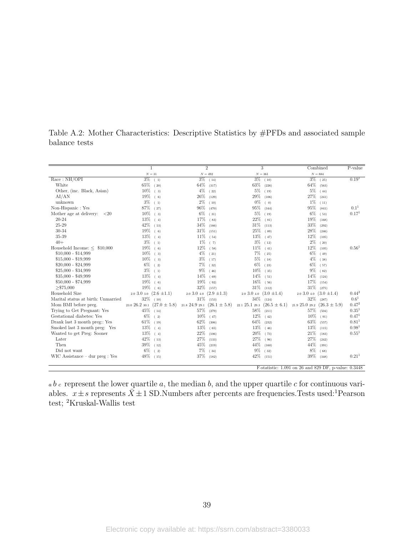|                                     |                                    | $\overline{2}$                     | 3                                  | Combined                                             | P-value           |
|-------------------------------------|------------------------------------|------------------------------------|------------------------------------|------------------------------------------------------|-------------------|
|                                     | ${\cal N}=31$                      | $N = 492$                          | ${\cal N}=361$                     | $N=884$                                              |                   |
| Race: NH/OPT                        | $3\%$ (1)                          | $\frac{3\%}{14}$                   | $3\%$<br>(10)                      | $3\%$<br>(25)                                        | 0.19 <sup>1</sup> |
| White                               | 65%<br>(20)                        | 64%<br>(317)                       | 63%<br>(226)                       | 64%<br>(563)                                         |                   |
| Other, (inc. Black, Asian)          | 10%<br>(3)                         | $4\%$<br>(22)                      | 5%<br>(19)                         | $5\%$<br>(44)                                        |                   |
| AI/AN                               | 19%<br>(6)                         | 26%<br>(129)                       | 29%<br>(106)                       | 27%<br>(241)                                         |                   |
| unknown                             | 3%<br>(1)                          | $2\%$<br>(10)                      | 0%<br>(0)                          | 1%<br>(11)                                           |                   |
| Non-Hispanic: Yes                   | 87%<br>(27)                        | 96%<br>(470)                       | 95%<br>(344)                       | 95%<br>(841)                                         | $0.1^{1}$         |
| Mother age at delivery:<br>${<}20$  | 10%<br>$(-3)$                      | $6\%$<br>(31)                      | 5%<br>(19)                         | $6\%$<br>(53)                                        | 0.17 <sup>1</sup> |
| $20 - 24$                           | 13%<br>(4)                         | 17%<br>(83)                        | 22%<br>(81)                        | 19%<br>(168)                                         |                   |
| 25-29                               | 42%<br>(13)                        | 34%<br>(166)                       | 31%<br>(113)                       | 33%<br>(292)                                         |                   |
| 30-34                               | 19%<br>(6)                         | 31%<br>(151)                       | 25%<br>(89)                        | 28%<br>(246)                                         |                   |
| 35-39                               | 13%<br>(4)                         | 11%<br>(54)                        | 13%<br>(47)                        | 12%<br>(105)                                         |                   |
| $40+$                               | $3\%$<br>(1)                       | 1%<br>(7)                          | 3%<br>(12)                         | $2\%$<br>(20)                                        |                   |
| Household Income: $\leq$ \$10,000   | 19%<br>(6)                         | 12%<br>(58)                        | 11%<br>(41)                        | 12%<br>(105)                                         | 0.56 <sup>1</sup> |
| $$10,000 - $14,999$                 | 10%<br>(3)                         | $4\%$<br>(21)                      | 7%<br>(25)                         | 6%<br>(49)                                           |                   |
| $$15,000 - $19,999$                 | 10%<br>(3)                         | $3\%$<br>(17)                      | 5%<br>(18)                         | $4\%$<br>(38)                                        |                   |
| $$20,000 - $24,999$                 | 6%<br>(2)                          | 7%<br>(32)                         | 6%<br>(23)                         | 6%<br>(57)                                           |                   |
| $$25,000 - $34,999$                 | $3\%$<br>(1)                       | $9\%$<br>(46)                      | 10%<br>(35)                        | $9\%$<br>(82)                                        |                   |
| $$35,000 - $49,999$                 | 13%<br>(4)                         | 14%<br>(69)                        | 14%<br>(51)                        | 14%<br>(124)                                         |                   |
| $$50,000 - $74,999$                 | 19%<br>(6)                         | 19%<br>(92)                        | 16%<br>(56)                        | 17%<br>(154)                                         |                   |
| $>\$ 375,000                        | 19%<br>(6)                         | 32%<br>(157)                       | 31%<br>(112)                       | 31%<br>(275)                                         |                   |
| Household Size                      | $(2.6 \pm 1.1)$<br>$2.0\,3.0\,3.0$ | $2.0$ 3.0 $4.0$ $(2.9 \pm 1.3)$    | $2.0\,3.0\,4.0$<br>$(3.0 \pm 1.4)$ | $(3.0 \pm 1.4)$<br>$2.0\,3.0\,4.0$                   | $0.44^{2}$        |
| Marital status at birth: Unmarried  | 32%<br>(10)                        | $31\%$ (153)                       | 34%<br>(124)                       | 32%<br>(287)                                         | $0.6^{1}$         |
| Mom BMI before preg.                | 23.0 26.2 30.1<br>$(27.0 \pm 5.8)$ | 21.8 24.9 29.1<br>$(26.1 \pm 5.8)$ | 22.1 25.1 29.3<br>$(26.5 \pm 6.1)$ | 21.9 25.0 29.2<br>$(26.3 \pm 5.9)$                   | $0.47^{2}$        |
| Trying to Get Pregnant: Yes         | 45%<br>(14)                        | 57%<br>(279)                       | 58%<br>(211)                       | 57%<br>(504)                                         | 0.35 <sup>1</sup> |
| Gestational diabetes: Yes           | 6%<br>(2)                          | 10%<br>(47)                        | 12%<br>(42)                        | 10%<br>(91)                                          | 0.47 <sup>1</sup> |
| Drank last 3 month preg:: Yes       | 61%<br>(19)                        | 62%<br>(306)                       | 64%<br>(232)                       | 63%<br>(557)                                         | $0.81^{1}$        |
| Smoked last 3 month preg: Yes       | 13%<br>(4)                         | 13%<br>(65)                        | 13%<br>(46)                        | 13%<br>(115)                                         | 0.98 <sup>1</sup> |
| Wanted to get Preg: Sooner          | 13%<br>(4)                         | 22%<br>(106)                       | 20%<br>(73)                        | 21%<br>(183)                                         | $0.55^{1}$        |
| Later                               | 42\%<br>(13)                       | 27%<br>(133)                       | 27%<br>(96)                        | 27%<br>(242)                                         |                   |
| Then                                | 39%<br>(12)                        | 45%<br>(219)                       | 44%<br>(160)                       | 44%<br>(391)                                         |                   |
| Did not want                        | 6%<br>(2)                          | 7%<br>(34)                         | 9%<br>(32)                         | 8%<br>(68)                                           |                   |
| WIC Assistance $-$ dur $preg : Yes$ | 48%<br>(15)                        | $37\%$ (182)                       | 42%<br>(151)                       | 39%<br>(348)                                         | 0.21 <sup>1</sup> |
|                                     |                                    |                                    |                                    |                                                      |                   |
|                                     |                                    |                                    |                                    | F-statistic: 1.091 on 26 and 829 DF, p-value: 0.3448 |                   |

<span id="page-39-0"></span>Table A.2: Mother Characteristics: Descriptive Statistics by #PFDs and associated sample balance tests

 $a b c$  represent the lower quartile a, the median b, and the upper quartile c for continuous variables.  $x \pm s$  represents  $\bar{X} \pm 1$  SD.Numbers after percents are frequencies. Tests used:<sup>1</sup>Pearson test; <sup>2</sup>Kruskal-Wallis test